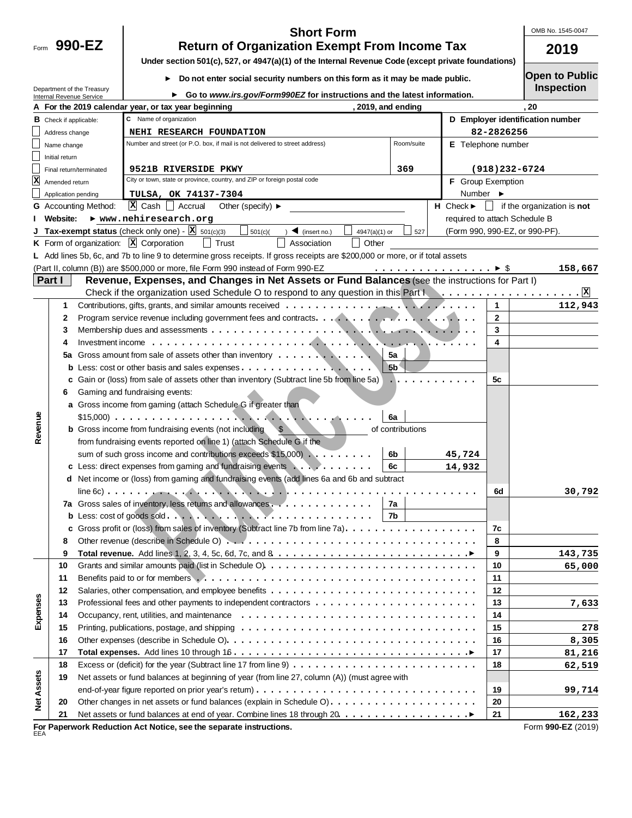OMB No. 1545-0047

| Form | QQí | n<br>ı. |  |
|------|-----|---------|--|
|------|-----|---------|--|

### **990-EZ 2019 Return of Organization Exempt From Income Tax Short Form**

**Under section 501(c), 527, or 4947(a)(1) of the Internal Revenue Code (except private foundations)**

|                                                                                                                                    |                                                         |                             | Do not enter social security numbers on this form as it may be made public.                                                                                                                                                    |                              |                                                                          | <b>Open to Public</b><br><b>Inspection</b> |  |  |  |  |
|------------------------------------------------------------------------------------------------------------------------------------|---------------------------------------------------------|-----------------------------|--------------------------------------------------------------------------------------------------------------------------------------------------------------------------------------------------------------------------------|------------------------------|--------------------------------------------------------------------------|--------------------------------------------|--|--|--|--|
| Department of the Treasury<br>Go to www.irs.gov/Form990EZ for instructions and the latest information.<br>Internal Revenue Service |                                                         |                             |                                                                                                                                                                                                                                |                              |                                                                          |                                            |  |  |  |  |
|                                                                                                                                    |                                                         |                             | A For the 2019 calendar year, or tax year beginning<br>, 2019, and ending                                                                                                                                                      |                              | . 20                                                                     |                                            |  |  |  |  |
|                                                                                                                                    | C Name of organization<br><b>B</b> Check if applicable: |                             |                                                                                                                                                                                                                                |                              | D Employer identification number                                         |                                            |  |  |  |  |
|                                                                                                                                    | Address change                                          |                             | NEHI RESEARCH FOUNDATION                                                                                                                                                                                                       |                              | 82-2826256                                                               |                                            |  |  |  |  |
|                                                                                                                                    | Name change                                             |                             | Room/suite<br>Number and street (or P.O. box, if mail is not delivered to street address)                                                                                                                                      |                              | E Telephone number                                                       |                                            |  |  |  |  |
|                                                                                                                                    | Initial return                                          |                             |                                                                                                                                                                                                                                |                              |                                                                          |                                            |  |  |  |  |
|                                                                                                                                    |                                                         | Final return/terminated     | 369<br>9521B RIVERSIDE PKWY                                                                                                                                                                                                    |                              | $(918)$ 232-6724                                                         |                                            |  |  |  |  |
| $\mathbf{x}$                                                                                                                       | Amended return                                          |                             | City or town, state or province, country, and ZIP or foreign postal code                                                                                                                                                       |                              | F Group Exemption                                                        |                                            |  |  |  |  |
|                                                                                                                                    | Application pending                                     |                             | TULSA, OK 74137-7304                                                                                                                                                                                                           | Number $\blacktriangleright$ |                                                                          |                                            |  |  |  |  |
|                                                                                                                                    |                                                         | <b>G</b> Accounting Method: | $ \mathbf{X} $ Cash $ $ Accrual<br>Other (specify) $\blacktriangleright$                                                                                                                                                       |                              | $H$ Check $\blacktriangleright$ $\Box$ if the organization is <b>not</b> |                                            |  |  |  |  |
|                                                                                                                                    | Website:                                                |                             | ▶ www.nehiresearch.org                                                                                                                                                                                                         |                              | required to attach Schedule B                                            |                                            |  |  |  |  |
|                                                                                                                                    |                                                         |                             | <b>J</b> Tax-exempt status (check only one) - $\boxed{\mathbf{X}}$ 501(c)(3)<br>501(c)<br>$\triangleleft$ (insert no.)<br>527<br>4947(a)(1) or                                                                                 |                              | (Form 990, 990-EZ, or 990-PF).                                           |                                            |  |  |  |  |
|                                                                                                                                    |                                                         |                             | K Form of organization: $X$ Corporation<br>    Trust<br>Association<br>Other                                                                                                                                                   |                              |                                                                          |                                            |  |  |  |  |
|                                                                                                                                    |                                                         |                             | L Add lines 5b, 6c, and 7b to line 9 to determine gross receipts. If gross receipts are \$200,000 or more, or if total assets                                                                                                  |                              |                                                                          |                                            |  |  |  |  |
|                                                                                                                                    |                                                         |                             | (Part II, column (B)) are \$500,000 or more, file Form 990 instead of Form 990-EZ<br><u>.</u> ▶ \$                                                                                                                             |                              |                                                                          | 158,667                                    |  |  |  |  |
|                                                                                                                                    | Part I                                                  |                             | Revenue, Expenses, and Changes in Net Assets or Fund Balances (see the instructions for Part I)                                                                                                                                |                              |                                                                          |                                            |  |  |  |  |
|                                                                                                                                    |                                                         |                             | Check if the organization used Schedule O to respond to any question in this Part New Lotton Burror Check if the organization used Schedule O to respond to any question in this Part New Lotton Burror Check in the organizat |                              |                                                                          |                                            |  |  |  |  |
|                                                                                                                                    | 1                                                       |                             |                                                                                                                                                                                                                                |                              | $\mathbf{1}$                                                             | 112,943                                    |  |  |  |  |
|                                                                                                                                    | 2                                                       |                             |                                                                                                                                                                                                                                |                              | $\mathbf{2}$                                                             |                                            |  |  |  |  |
|                                                                                                                                    | 3                                                       |                             |                                                                                                                                                                                                                                |                              | 3                                                                        |                                            |  |  |  |  |
|                                                                                                                                    | 4                                                       |                             | Investment income $\dots$ , $\dots$ , $\dots$ , $\dots$ , $\dots$ , $\dots$ , $\dots$ , $\dots$ , $\dots$ , $\dots$ , $\dots$ , $\dots$                                                                                        |                              | 4                                                                        |                                            |  |  |  |  |
|                                                                                                                                    | 5a                                                      |                             | Gross amount from sale of assets other than inventory<br>5а                                                                                                                                                                    |                              |                                                                          |                                            |  |  |  |  |
|                                                                                                                                    |                                                         |                             | 5 <sub>b</sub><br><b>b</b> Less: cost or other basis and sales expenses $\dots \dots \dots \dots \dots \dots \dots \dots$                                                                                                      |                              |                                                                          |                                            |  |  |  |  |
|                                                                                                                                    |                                                         |                             | c Gain or (loss) from sale of assets other than inventory (Subtract line 5b from line 5a)<br>5c<br>.                                                                                                                           |                              |                                                                          |                                            |  |  |  |  |
|                                                                                                                                    | 6                                                       |                             | Gaming and fundraising events:                                                                                                                                                                                                 |                              |                                                                          |                                            |  |  |  |  |
|                                                                                                                                    |                                                         |                             | a Gross income from gaming (attach Schedule G if greater than<br>6a                                                                                                                                                            |                              |                                                                          |                                            |  |  |  |  |
|                                                                                                                                    |                                                         |                             | <b>b</b> Gross income from fundraising events (not including<br>\$<br>of contributions                                                                                                                                         |                              |                                                                          |                                            |  |  |  |  |
| Revenue                                                                                                                            |                                                         |                             | from fundraising events reported on line 1) (attach Schedule G if the                                                                                                                                                          |                              |                                                                          |                                            |  |  |  |  |
|                                                                                                                                    |                                                         |                             | sum of such gross income and contributions exceeds \$15,000)<br>6b                                                                                                                                                             | 45,724                       |                                                                          |                                            |  |  |  |  |
|                                                                                                                                    |                                                         |                             | c Less: direct expenses from gaming and fundraising events<br>6c                                                                                                                                                               | 14,932                       |                                                                          |                                            |  |  |  |  |
|                                                                                                                                    |                                                         |                             | d Net income or (loss) from gaming and fundraising events (add lines 6a and 6b and subtract                                                                                                                                    |                              |                                                                          |                                            |  |  |  |  |
|                                                                                                                                    |                                                         |                             |                                                                                                                                                                                                                                |                              | 6d                                                                       | 30,792                                     |  |  |  |  |
|                                                                                                                                    |                                                         |                             | 7a Gross sales of inventory, less returns and allowances<br>7a                                                                                                                                                                 |                              |                                                                          |                                            |  |  |  |  |
|                                                                                                                                    |                                                         |                             | 7b                                                                                                                                                                                                                             |                              |                                                                          |                                            |  |  |  |  |
|                                                                                                                                    |                                                         |                             | c Gross profit or (loss) from sales of inventory (Subtract line 7b from line 7a). $\dots \dots \dots \dots \dots \dots$                                                                                                        |                              | 7c                                                                       |                                            |  |  |  |  |
|                                                                                                                                    | 8                                                       |                             |                                                                                                                                                                                                                                |                              | 8                                                                        |                                            |  |  |  |  |
|                                                                                                                                    | 9                                                       |                             | Total revenue. Add lines 1, 2, 3, 4, 5c, 6d, 7c, and $8$                                                                                                                                                                       |                              | 9                                                                        | 143,735                                    |  |  |  |  |
|                                                                                                                                    | 10                                                      |                             |                                                                                                                                                                                                                                |                              | 10                                                                       | 65,000                                     |  |  |  |  |
|                                                                                                                                    | 11                                                      |                             |                                                                                                                                                                                                                                |                              | 11                                                                       |                                            |  |  |  |  |
|                                                                                                                                    | 12                                                      |                             |                                                                                                                                                                                                                                |                              | 12                                                                       |                                            |  |  |  |  |
|                                                                                                                                    | 13                                                      |                             |                                                                                                                                                                                                                                |                              | 13                                                                       | 7,633                                      |  |  |  |  |
| Expenses                                                                                                                           | 14                                                      |                             |                                                                                                                                                                                                                                |                              | 14                                                                       |                                            |  |  |  |  |
|                                                                                                                                    | 15                                                      |                             | Printing, publications, postage, and shipping $\dots \dots \dots \dots \dots \dots \dots \dots \dots \dots \dots \dots \dots \dots$                                                                                            |                              | 15                                                                       | 278                                        |  |  |  |  |
|                                                                                                                                    | 16                                                      |                             |                                                                                                                                                                                                                                |                              | 16                                                                       | 8,305                                      |  |  |  |  |
|                                                                                                                                    | 17                                                      |                             |                                                                                                                                                                                                                                |                              | 17                                                                       | 81,216                                     |  |  |  |  |
|                                                                                                                                    | 18                                                      |                             |                                                                                                                                                                                                                                |                              | 18                                                                       | 62,519                                     |  |  |  |  |
|                                                                                                                                    | 19                                                      |                             | Net assets or fund balances at beginning of year (from line 27, column (A)) (must agree with                                                                                                                                   |                              |                                                                          |                                            |  |  |  |  |
|                                                                                                                                    |                                                         |                             |                                                                                                                                                                                                                                |                              | 19                                                                       | 99,714                                     |  |  |  |  |
| <b>Net Assets</b>                                                                                                                  | 20                                                      |                             |                                                                                                                                                                                                                                |                              | 20                                                                       |                                            |  |  |  |  |
|                                                                                                                                    | 21                                                      |                             |                                                                                                                                                                                                                                |                              | 21                                                                       | 162,233                                    |  |  |  |  |
|                                                                                                                                    |                                                         |                             | For Paperwork Reduction Act Notice see the separate instructions                                                                                                                                                               |                              |                                                                          | Form 990-F7 (2019)                         |  |  |  |  |

**For Paperwork Reduction Act Notice, see the separate instructions.** EEA

Form **990-EZ** (2019)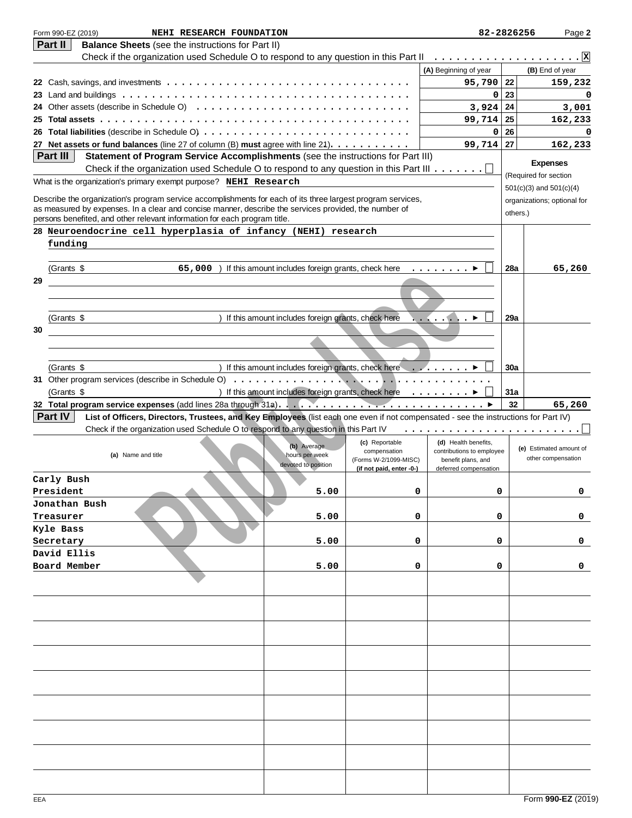| Form 990-EZ (2019)<br>NEHI RESEARCH FOUNDATION                                                                                                 |                                                                    |                                | 82-2826256                                        |          | Page 2                      |
|------------------------------------------------------------------------------------------------------------------------------------------------|--------------------------------------------------------------------|--------------------------------|---------------------------------------------------|----------|-----------------------------|
| Part II<br><b>Balance Sheets</b> (see the instructions for Part II)                                                                            |                                                                    |                                |                                                   |          |                             |
|                                                                                                                                                |                                                                    |                                |                                                   |          |                             |
|                                                                                                                                                |                                                                    |                                | (A) Beginning of year                             |          | (B) End of year             |
|                                                                                                                                                |                                                                    |                                | 95,790 22                                         |          | 159,232                     |
|                                                                                                                                                |                                                                    |                                | 0<br>$3,924$ 24                                   | 23       | 0<br>3,001                  |
| 25                                                                                                                                             |                                                                    |                                | 99,714                                            | 25       | 162,233                     |
|                                                                                                                                                |                                                                    |                                | 0                                                 | 26       | 0                           |
| 27 Net assets or fund balances (line 27 of column (B) must agree with line 21).                                                                |                                                                    |                                | 99,714                                            | 27       | 162,233                     |
| Part III<br>Statement of Program Service Accomplishments (see the instructions for Part III)                                                   |                                                                    |                                |                                                   |          | <b>Expenses</b>             |
| Check if the organization used Schedule O to respond to any question in this Part III $\dots \dots \dots$                                      |                                                                    |                                |                                                   |          | (Required for section       |
| What is the organization's primary exempt purpose? NEHI Research                                                                               |                                                                    |                                |                                                   |          | $501(c)(3)$ and $501(c)(4)$ |
| Describe the organization's program service accomplishments for each of its three largest program services,                                    |                                                                    |                                |                                                   |          | organizations; optional for |
| as measured by expenses. In a clear and concise manner, describe the services provided, the number of                                          |                                                                    |                                |                                                   | others.) |                             |
| persons benefited, and other relevant information for each program title.<br>28 Neuroendocrine cell hyperplasia of infancy (NEHI) research     |                                                                    |                                |                                                   |          |                             |
| funding                                                                                                                                        |                                                                    |                                |                                                   |          |                             |
|                                                                                                                                                |                                                                    |                                |                                                   |          |                             |
| (Grants \$<br>65,000 ) If this amount includes foreign grants, check here $\dots \dots$                                                        |                                                                    |                                |                                                   | 28a      | 65,260                      |
| 29                                                                                                                                             |                                                                    |                                |                                                   |          |                             |
|                                                                                                                                                |                                                                    |                                |                                                   |          |                             |
|                                                                                                                                                |                                                                    |                                |                                                   |          |                             |
| (Grants \$                                                                                                                                     | ) If this amount includes foreign grants, check here               |                                |                                                   | 29a      |                             |
| 30                                                                                                                                             |                                                                    |                                |                                                   |          |                             |
|                                                                                                                                                |                                                                    |                                |                                                   |          |                             |
| (Grants \$                                                                                                                                     | If this amount includes foreign grants, check here ▶               |                                |                                                   | 30a      |                             |
|                                                                                                                                                |                                                                    |                                |                                                   |          |                             |
| (Grants \$                                                                                                                                     | ) If this amount includes foreign grants, check here $\dots \dots$ |                                |                                                   | 31a      |                             |
|                                                                                                                                                |                                                                    |                                |                                                   | 32       | 65,260                      |
| Part IV<br>List of Officers, Directors, Trustees, and Key Employees (list each one even if not compensated - see the instructions for Part IV) |                                                                    |                                |                                                   |          |                             |
| Check if the organization used Schedule O to respond to any question in this Part IV                                                           |                                                                    |                                |                                                   |          |                             |
|                                                                                                                                                | (b) Average                                                        | (c) Reportable<br>compensation | (d) Health benefits,<br>contributions to employee |          | (e) Estimated amount of     |
| (a) Name and title                                                                                                                             | hours per week<br>devoted to position                              | (Forms W-2/1099-MISC)          | benefit plans, and                                |          | other compensation          |
| Carly Bush                                                                                                                                     |                                                                    | (if not paid, enter -0-)       | deferred compensation                             |          |                             |
| President                                                                                                                                      | 5.00                                                               | 0                              | 0                                                 |          |                             |
| Jonathan Bush                                                                                                                                  |                                                                    |                                |                                                   |          |                             |
| Treasurer                                                                                                                                      | 5.00                                                               | 0                              | 0                                                 |          | $\mathbf{0}$                |
| Kyle Bass                                                                                                                                      |                                                                    |                                |                                                   |          |                             |
| Secretary                                                                                                                                      | 5.00                                                               | 0                              | 0                                                 |          | $\mathbf{0}$                |
| David Ellis                                                                                                                                    |                                                                    |                                |                                                   |          |                             |
| Board Member                                                                                                                                   | 5.00                                                               | 0                              | 0                                                 |          | $\mathbf{0}$                |
|                                                                                                                                                |                                                                    |                                |                                                   |          |                             |
|                                                                                                                                                |                                                                    |                                |                                                   |          |                             |
|                                                                                                                                                |                                                                    |                                |                                                   |          |                             |
|                                                                                                                                                |                                                                    |                                |                                                   |          |                             |
|                                                                                                                                                |                                                                    |                                |                                                   |          |                             |
|                                                                                                                                                |                                                                    |                                |                                                   |          |                             |
|                                                                                                                                                |                                                                    |                                |                                                   |          |                             |
|                                                                                                                                                |                                                                    |                                |                                                   |          |                             |
|                                                                                                                                                |                                                                    |                                |                                                   |          |                             |
|                                                                                                                                                |                                                                    |                                |                                                   |          |                             |
|                                                                                                                                                |                                                                    |                                |                                                   |          |                             |
|                                                                                                                                                |                                                                    |                                |                                                   |          |                             |
|                                                                                                                                                |                                                                    |                                |                                                   |          |                             |
|                                                                                                                                                |                                                                    |                                |                                                   |          |                             |
|                                                                                                                                                |                                                                    |                                |                                                   |          |                             |
|                                                                                                                                                |                                                                    |                                |                                                   |          |                             |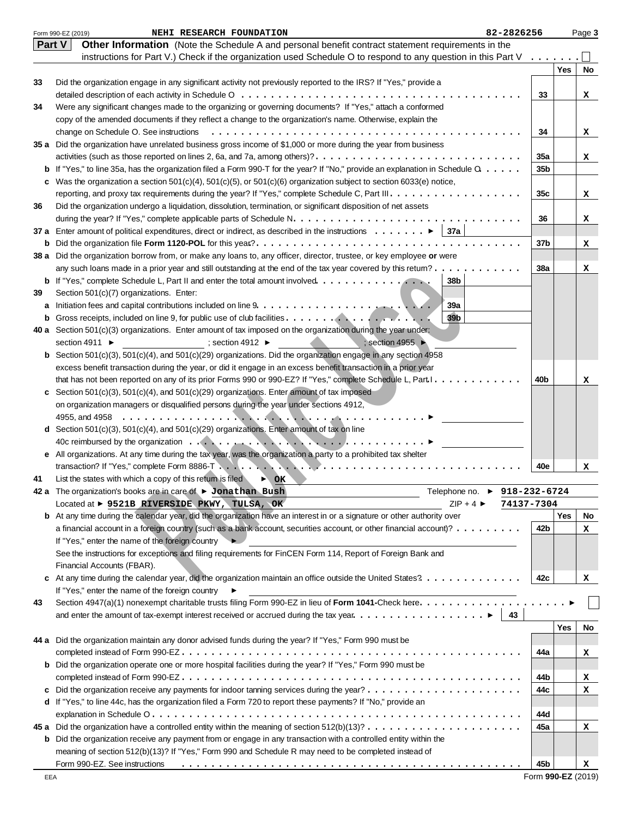|    | 82-2826256<br>NEHI RESEARCH FOUNDATION<br>Form 990-EZ (2019)                                                                                         |                 |     | Page 3    |
|----|------------------------------------------------------------------------------------------------------------------------------------------------------|-----------------|-----|-----------|
|    | <b>Part V</b><br>Other Information (Note the Schedule A and personal benefit contract statement requirements in the                                  |                 |     |           |
|    | instructions for Part V.) Check if the organization used Schedule O to respond to any question in this Part V                                        | .               |     |           |
|    |                                                                                                                                                      |                 | Yes | No        |
| 33 | Did the organization engage in any significant activity not previously reported to the IRS? If "Yes," provide a                                      |                 |     |           |
|    |                                                                                                                                                      | 33              |     | x         |
| 34 | Were any significant changes made to the organizing or governing documents? If "Yes," attach a conformed                                             |                 |     |           |
|    | copy of the amended documents if they reflect a change to the organization's name. Otherwise, explain the                                            |                 |     |           |
|    | change on Schedule O. See instructions                                                                                                               | 34              |     | x         |
|    | 35 a Did the organization have unrelated business gross income of \$1,000 or more during the year from business                                      |                 |     |           |
|    | activities (such as those reported on lines 2, 6a, and 7a, among others)?                                                                            | 35a             |     | x         |
|    | <b>b</b> If "Yes," to line 35a, has the organization filed a Form 990-T for the year? If "No," provide an explanation in Schedule $Q_1, \ldots, Q_n$ | 35b             |     |           |
| c  | Was the organization a section $501(c)(4)$ , $501(c)(5)$ , or $501(c)(6)$ organization subject to section 6033(e) notice,                            |                 |     |           |
|    |                                                                                                                                                      | 35c             |     | x         |
| 36 | Did the organization undergo a liquidation, dissolution, termination, or significant disposition of net assets                                       |                 |     |           |
|    |                                                                                                                                                      | 36              |     | x         |
|    | 37 a Enter amount of political expenditures, direct or indirect, as described in the instructions $\blacktriangleright$ 37a                          |                 |     |           |
|    |                                                                                                                                                      | 37 <sub>b</sub> |     |           |
|    |                                                                                                                                                      |                 |     | x         |
|    | 38 a Did the organization borrow from, or make any loans to, any officer, director, trustee, or key employee or were                                 |                 |     |           |
|    | any such loans made in a prior year and still outstanding at the end of the tax year covered by this retum?                                          | 38a             |     | x         |
|    | <b>b</b> If "Yes," complete Schedule L, Part II and enter the total amount involved.<br>38b                                                          |                 |     |           |
| 39 | Section 501(c)(7) organizations. Enter:                                                                                                              |                 |     |           |
| a  | 39a                                                                                                                                                  |                 |     |           |
|    | 39 <sub>b</sub>                                                                                                                                      |                 |     |           |
|    | 40 a Section 501(c)(3) organizations. Enter amount of tax imposed on the organization during the year under:                                         |                 |     |           |
|    | $\Rightarrow$ section 4912<br>section 4911 ►<br>; section 4955 ►                                                                                     |                 |     |           |
|    | <b>b</b> Section 501(c)(3), 501(c)(4), and 501(c)(29) organizations. Did the organization engage in any section 4958                                 |                 |     |           |
|    | excess benefit transaction during the year, or did it engage in an excess benefit transaction in a prior year                                        |                 |     |           |
|    | that has not been reported on any of its prior Forms 990 or 990-EZ? If "Yes," complete Schedule L, Part I.                                           | 40b             |     | x         |
| c  | Section $501(c)(3)$ , $501(c)(4)$ , and $501(c)(29)$ organizations. Enter amount of tax imposed                                                      |                 |     |           |
|    | on organization managers or disqualified persons during the year under sections 4912,                                                                |                 |     |           |
|    |                                                                                                                                                      |                 |     |           |
|    | <b>d</b> Section 501(c)(3), 501(c)(4), and 501(c)(29) organizations. Enter amount of tax on line                                                     |                 |     |           |
|    |                                                                                                                                                      |                 |     |           |
|    | e All organizations. At any time during the tax year, was the organization a party to a prohibited tax shelter                                       |                 |     |           |
|    |                                                                                                                                                      | 40e             |     | x         |
| 41 | List the states with which a copy of this return is filed<br>$\triangleright$ OK                                                                     |                 |     |           |
|    | 42 a The organization's books are in care of $\blacktriangleright$ Jonathan Bush<br>Telephone no. ▶ 918-232-6724                                     |                 |     |           |
|    | Located at ▶ 9521B RIVERSIDE PKWY, TULSA, OK<br>$ZIP + 4$<br>74137-7304                                                                              |                 |     |           |
|    | <b>b</b> At any time during the calendar year, did the organization have an interest in or a signature or other authority over                       |                 | Yes | <b>No</b> |
|    | a financial account in a foreign country (such as a bank account, securities account, or other financial account)?                                   | 42b             |     | x         |
|    | If "Yes," enter the name of the foreign country                                                                                                      |                 |     |           |
|    | See the instructions for exceptions and filing requirements for FinCEN Form 114, Report of Foreign Bank and                                          |                 |     |           |
|    | Financial Accounts (FBAR).                                                                                                                           |                 |     |           |
|    | c At any time during the calendar year, did the organization maintain an office outside the United States?                                           | 42c             |     | x         |
|    | If "Yes," enter the name of the foreign country<br>▶                                                                                                 |                 |     |           |
| 43 | Section 4947(a)(1) nonexempt charitable trusts filing Form 990-EZ in lieu of Form 1041-Check here.                                                   |                 |     |           |
|    | 43                                                                                                                                                   |                 |     |           |
|    |                                                                                                                                                      |                 | Yes | No        |
|    | 44 a Did the organization maintain any donor advised funds during the year? If "Yes," Form 990 must be                                               |                 |     |           |
|    |                                                                                                                                                      | 44a             |     | x         |
|    | <b>b</b> Did the organization operate one or more hospital facilities during the year? If "Yes," Form 990 must be                                    |                 |     |           |
|    |                                                                                                                                                      | 44b             |     | x         |
| c  |                                                                                                                                                      | 44с             |     | x         |
|    | d If "Yes," to line 44c, has the organization filed a Form 720 to report these payments? If "No," provide an                                         |                 |     |           |
|    |                                                                                                                                                      | 44d             |     |           |
|    |                                                                                                                                                      |                 |     |           |
|    |                                                                                                                                                      | 45a             |     | x         |
| b  | Did the organization receive any payment from or engage in any transaction with a controlled entity within the                                       |                 |     |           |
|    | meaning of section 512(b)(13)? If "Yes," Form 990 and Schedule R may need to be completed instead of                                                 |                 |     |           |
|    |                                                                                                                                                      | 45b             |     | x         |

Form **990-EZ** (2019)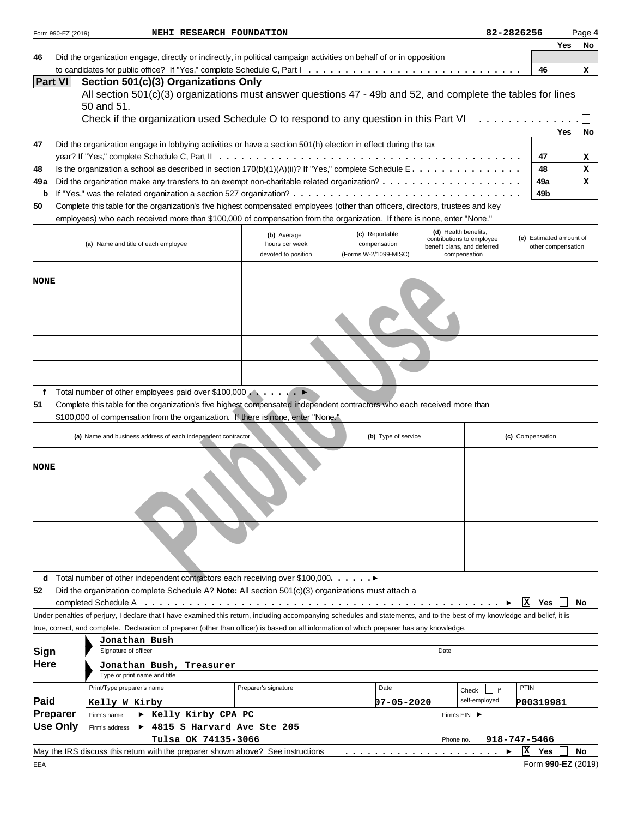|             | Form 990-EZ (2019) | NEHI RESEARCH FOUNDATION                                                                                                                                                   |                                       |                                       |                     |                                                   | 82-2826256    |                         |            | Page 4 |
|-------------|--------------------|----------------------------------------------------------------------------------------------------------------------------------------------------------------------------|---------------------------------------|---------------------------------------|---------------------|---------------------------------------------------|---------------|-------------------------|------------|--------|
|             |                    |                                                                                                                                                                            |                                       |                                       |                     |                                                   |               |                         | <b>Yes</b> | No     |
| 46          |                    | Did the organization engage, directly or indirectly, in political campaign activities on behalf of or in opposition                                                        |                                       |                                       |                     |                                                   |               |                         |            |        |
|             |                    |                                                                                                                                                                            |                                       |                                       |                     |                                                   |               | 46                      |            | x      |
|             | <b>Part VI</b>     | Section 501(c)(3) Organizations Only                                                                                                                                       |                                       |                                       |                     |                                                   |               |                         |            |        |
|             |                    | All section 501(c)(3) organizations must answer questions 47 - 49b and 52, and complete the tables for lines                                                               |                                       |                                       |                     |                                                   |               |                         |            |        |
|             |                    | 50 and 51.                                                                                                                                                                 |                                       |                                       |                     |                                                   |               |                         |            |        |
|             |                    | Check if the organization used Schedule O to respond to any question in this Part VI $\dots \dots \dots$                                                                   |                                       |                                       |                     |                                                   |               |                         |            |        |
|             |                    |                                                                                                                                                                            |                                       |                                       |                     |                                                   |               |                         | <b>Yes</b> | No     |
| 47          |                    | Did the organization engage in lobbying activities or have a section 501(h) election in effect during the tax                                                              |                                       |                                       |                     |                                                   |               |                         |            |        |
|             |                    |                                                                                                                                                                            |                                       |                                       |                     |                                                   |               | 47                      |            | х      |
| 48          |                    |                                                                                                                                                                            |                                       |                                       |                     |                                                   |               | 48                      |            | х      |
| 49 a        |                    |                                                                                                                                                                            |                                       |                                       |                     |                                                   |               | 49a<br>49b              |            | x      |
| b           |                    | Complete this table for the organization's five highest compensated employees (other than officers, directors, trustees and key                                            |                                       |                                       |                     |                                                   |               |                         |            |        |
| 50          |                    | employees) who each received more than \$100,000 of compensation from the organization. If there is none, enter "None."                                                    |                                       |                                       |                     |                                                   |               |                         |            |        |
|             |                    |                                                                                                                                                                            |                                       |                                       |                     |                                                   |               |                         |            |        |
|             |                    |                                                                                                                                                                            | (b) Average                           | (c) Reportable                        |                     | (d) Health benefits,<br>contributions to employee |               | (e) Estimated amount of |            |        |
|             |                    | (a) Name and title of each employee                                                                                                                                        | hours per week<br>devoted to position | compensation<br>(Forms W-2/1099-MISC) |                     | benefit plans, and deferred<br>compensation       |               | other compensation      |            |        |
|             |                    |                                                                                                                                                                            |                                       |                                       |                     |                                                   |               |                         |            |        |
| <b>NONE</b> |                    |                                                                                                                                                                            |                                       |                                       |                     |                                                   |               |                         |            |        |
|             |                    |                                                                                                                                                                            |                                       |                                       |                     |                                                   |               |                         |            |        |
|             |                    |                                                                                                                                                                            |                                       |                                       |                     |                                                   |               |                         |            |        |
|             |                    |                                                                                                                                                                            |                                       |                                       |                     |                                                   |               |                         |            |        |
|             |                    |                                                                                                                                                                            |                                       |                                       |                     |                                                   |               |                         |            |        |
|             |                    |                                                                                                                                                                            |                                       |                                       |                     |                                                   |               |                         |            |        |
|             |                    |                                                                                                                                                                            |                                       |                                       |                     |                                                   |               |                         |            |        |
|             |                    |                                                                                                                                                                            |                                       |                                       |                     |                                                   |               |                         |            |        |
|             |                    |                                                                                                                                                                            |                                       |                                       |                     |                                                   |               |                         |            |        |
| f           |                    | Total number of other employees paid over \$100,000 ▶                                                                                                                      |                                       |                                       |                     |                                                   |               |                         |            |        |
| 51          |                    | Complete this table for the organization's five highest compensated independent contractors who each received more than                                                    |                                       |                                       |                     |                                                   |               |                         |            |        |
|             |                    | \$100,000 of compensation from the organization. If there is none, enter "None."                                                                                           |                                       |                                       |                     |                                                   |               |                         |            |        |
|             |                    |                                                                                                                                                                            |                                       |                                       |                     |                                                   |               |                         |            |        |
|             |                    | (a) Name and business address of each independent contractor                                                                                                               |                                       |                                       | (b) Type of service |                                                   |               | (c) Compensation        |            |        |
|             |                    |                                                                                                                                                                            |                                       |                                       |                     |                                                   |               |                         |            |        |
| <b>NONE</b> |                    |                                                                                                                                                                            |                                       |                                       |                     |                                                   |               |                         |            |        |
|             |                    |                                                                                                                                                                            |                                       |                                       |                     |                                                   |               |                         |            |        |
|             |                    |                                                                                                                                                                            |                                       |                                       |                     |                                                   |               |                         |            |        |
|             |                    |                                                                                                                                                                            |                                       |                                       |                     |                                                   |               |                         |            |        |
|             |                    |                                                                                                                                                                            |                                       |                                       |                     |                                                   |               |                         |            |        |
|             |                    |                                                                                                                                                                            |                                       |                                       |                     |                                                   |               |                         |            |        |
|             |                    |                                                                                                                                                                            |                                       |                                       |                     |                                                   |               |                         |            |        |
|             |                    |                                                                                                                                                                            |                                       |                                       |                     |                                                   |               |                         |            |        |
|             |                    |                                                                                                                                                                            |                                       |                                       |                     |                                                   |               |                         |            |        |
|             |                    | <b>d</b> Total number of other independent contractors each receiving over \$100,000. $\blacktriangleright$                                                                |                                       |                                       |                     |                                                   |               |                         |            |        |
| 52          |                    | Did the organization complete Schedule A? Note: All section $501(c)(3)$ organizations must attach a                                                                        |                                       |                                       |                     |                                                   |               |                         |            |        |
|             |                    |                                                                                                                                                                            |                                       |                                       |                     |                                                   |               | X <br>Yes               |            | No     |
|             |                    | Under penalties of perjury, I declare that I have examined this return, including accompanying schedules and statements, and to the best of my knowledge and belief, it is |                                       |                                       |                     |                                                   |               |                         |            |        |
|             |                    | true, correct, and complete. Declaration of preparer (other than officer) is based on all information of which preparer has any knowledge.                                 |                                       |                                       |                     |                                                   |               |                         |            |        |
|             |                    | Jonathan Bush<br>Signature of officer                                                                                                                                      |                                       |                                       |                     | Date                                              |               |                         |            |        |
| Sign        |                    |                                                                                                                                                                            |                                       |                                       |                     |                                                   |               |                         |            |        |
| Here        |                    | Jonathan Bush, Treasurer<br>Type or print name and title                                                                                                                   |                                       |                                       |                     |                                                   |               |                         |            |        |
|             |                    | Print/Type preparer's name                                                                                                                                                 | Preparer's signature                  |                                       | Date                |                                                   |               | PTIN                    |            |        |
| Paid        |                    |                                                                                                                                                                            |                                       |                                       |                     | Check                                             | self-employed |                         |            |        |
|             |                    | Kelly W Kirby                                                                                                                                                              |                                       |                                       | 07-05-2020          |                                                   |               | P00319981               |            |        |
|             | <b>Preparer</b>    | $\blacktriangleright$ Kelly Kirby CPA PC<br>Firm's name                                                                                                                    |                                       |                                       |                     | Firm's EIN ▶                                      |               |                         |            |        |
|             | <b>Use Only</b>    | 4815 S Harvard Ave Ste 205<br>Firm's address<br>▸                                                                                                                          |                                       |                                       |                     |                                                   |               |                         |            |        |
|             |                    | Tulsa OK 74135-3066<br>May the IRS discuss this return with the preparer shown above? See instructions                                                                     |                                       |                                       |                     | Phone no.                                         | 918-747-5466  | x<br>Yes                |            | No     |
| FFA         |                    |                                                                                                                                                                            |                                       |                                       |                     |                                                   |               | Form 990-F7 (2019)      |            |        |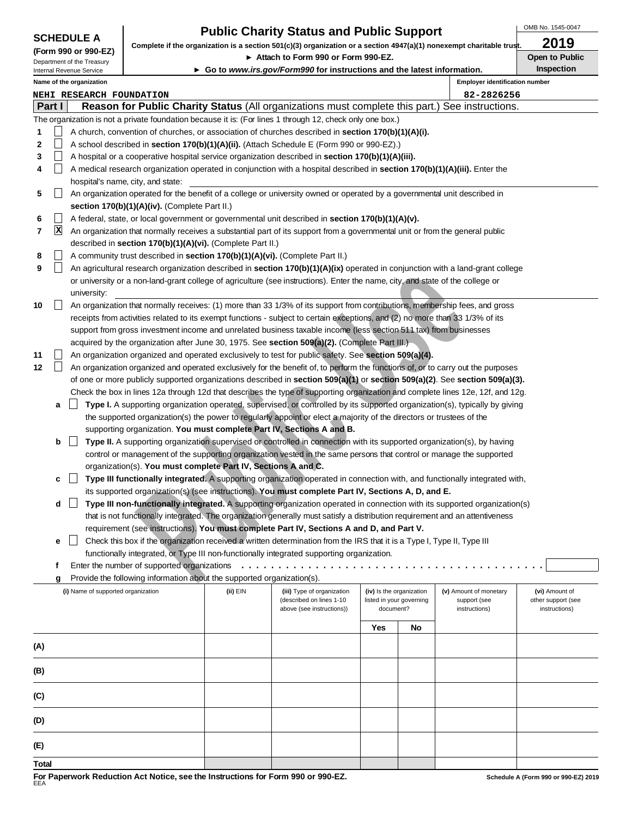| <b>SCHEDULE A</b> |  |  |
|-------------------|--|--|
|-------------------|--|--|

### **Public Charity Status and Public Support**

OMB No. 1545-0047

| (Form 990 or 990-EZ)       |  |
|----------------------------|--|
| Department of the Treasury |  |

## **Complete if the organization is a section 501(c)(3) organization or a section 4947(a)(1) nonexempt charitable trust. 2019**

▶ Attach to Form 990 or Form 990-EZ. **Depict on Public** Open to Public

**Inspection**

**Go to www.irs.gov/Form990 for instructions and the latest information.**

|     |              | Internal Revenue Service                                                                                                             |          | ► Go to www.irs.gov/Form990 for instructions and the latest information. |           |                          |                                       | ınsp    |
|-----|--------------|--------------------------------------------------------------------------------------------------------------------------------------|----------|--------------------------------------------------------------------------|-----------|--------------------------|---------------------------------------|---------|
|     |              | Name of the organization                                                                                                             |          |                                                                          |           |                          | <b>Employer identification number</b> |         |
|     |              | NEHI RESEARCH FOUNDATION                                                                                                             |          |                                                                          |           |                          | 82-2826256                            |         |
|     | Part I       | Reason for Public Charity Status (All organizations must complete this part.) See instructions.                                      |          |                                                                          |           |                          |                                       |         |
|     |              | The organization is not a private foundation because it is: (For lines 1 through 12, check only one box.)                            |          |                                                                          |           |                          |                                       |         |
| 1   |              | A church, convention of churches, or association of churches described in <b>section 170(b)(1)(A)(i).</b>                            |          |                                                                          |           |                          |                                       |         |
| 2   |              | A school described in section 170(b)(1)(A)(ii). (Attach Schedule E (Form 990 or 990-EZ).)                                            |          |                                                                          |           |                          |                                       |         |
| 3   |              | A hospital or a cooperative hospital service organization described in section 170(b)(1)(A)(iii).                                    |          |                                                                          |           |                          |                                       |         |
| 4   |              | A medical research organization operated in conjunction with a hospital described in section 170(b)(1)(A)(iii). Enter the            |          |                                                                          |           |                          |                                       |         |
|     |              | hospital's name, city, and state:                                                                                                    |          |                                                                          |           |                          |                                       |         |
| 5   |              | An organization operated for the benefit of a college or university owned or operated by a governmental unit described in            |          |                                                                          |           |                          |                                       |         |
|     |              | section 170(b)(1)(A)(iv). (Complete Part II.)                                                                                        |          |                                                                          |           |                          |                                       |         |
| 6   |              | A federal, state, or local government or governmental unit described in section 170(b)(1)(A)(v).                                     |          |                                                                          |           |                          |                                       |         |
| 7   | $\mathbf{x}$ | An organization that normally receives a substantial part of its support from a governmental unit or from the general public         |          |                                                                          |           |                          |                                       |         |
|     |              | described in section 170(b)(1)(A)(vi). (Complete Part II.)                                                                           |          |                                                                          |           |                          |                                       |         |
| 8   |              | A community trust described in section 170(b)(1)(A)(vi). (Complete Part II.)                                                         |          |                                                                          |           |                          |                                       |         |
| 9   |              | An agricultural research organization described in section 170(b)(1)(A)(ix) operated in conjunction with a land-grant college        |          |                                                                          |           |                          |                                       |         |
|     |              | or university or a non-land-grant college of agriculture (see instructions). Enter the name, city, and state of the college or       |          |                                                                          |           |                          |                                       |         |
|     |              | university:                                                                                                                          |          |                                                                          |           |                          |                                       |         |
| 10  |              | An organization that normally receives: (1) more than 33 1/3% of its support from contributions, membership fees, and gross          |          |                                                                          |           |                          |                                       |         |
|     |              | receipts from activities related to its exempt functions - subject to certain exceptions, and (2) no more than 33 1/3% of its        |          |                                                                          |           |                          |                                       |         |
|     |              | support from gross investment income and unrelated business taxable income (less section 511 tax) from businesses                    |          |                                                                          |           |                          |                                       |         |
|     |              | acquired by the organization after June 30, 1975. See section 509(a)(2). (Complete Part III.)                                        |          |                                                                          |           |                          |                                       |         |
| 11  |              | An organization organized and operated exclusively to test for public safety. See section 509(a)(4).                                 |          |                                                                          |           |                          |                                       |         |
| 12  |              | An organization organized and operated exclusively for the benefit of, to perform the functions of, or to carry out the purposes     |          |                                                                          |           |                          |                                       |         |
|     |              | of one or more publicly supported organizations described in section 509(a)(1) or section 509(a)(2). See section 509(a)(3).          |          |                                                                          |           |                          |                                       |         |
|     |              | Check the box in lines 12a through 12d that describes the type of supporting organization and complete lines 12e, 12f, and 12g.      |          |                                                                          |           |                          |                                       |         |
|     | a            | Type I. A supporting organization operated, supervised, or controlled by its supported organization(s), typically by giving          |          |                                                                          |           |                          |                                       |         |
|     |              | the supported organization(s) the power to regularly appoint or elect a majority of the directors or trustees of the                 |          |                                                                          |           |                          |                                       |         |
|     |              | supporting organization. You must complete Part IV, Sections A and B.                                                                |          |                                                                          |           |                          |                                       |         |
|     | b            | Type II. A supporting organization supervised or controlled in connection with its supported organization(s), by having<br>$\Box$    |          |                                                                          |           |                          |                                       |         |
|     |              | control or management of the supporting organization vested in the same persons that control or manage the supported                 |          |                                                                          |           |                          |                                       |         |
|     |              | organization(s). You must complete Part IV, Sections A and C.                                                                        |          |                                                                          |           |                          |                                       |         |
|     | C            | $\Box$<br>Type III functionally integrated. A supporting organization operated in connection with, and functionally integrated with, |          |                                                                          |           |                          |                                       |         |
|     |              | its supported organization(s) (see instructions). You must complete Part IV, Sections A, D, and E.                                   |          |                                                                          |           |                          |                                       |         |
|     | d            | $\Box$<br>Type III non-functionally integrated. A supporting organization operated in connection with its supported organization(s)  |          |                                                                          |           |                          |                                       |         |
|     |              | that is not functionally integrated. The organization generally must satisfy a distribution requirement and an attentiveness         |          |                                                                          |           |                          |                                       |         |
|     |              | requirement (see instructions). You must complete Part IV, Sections A and D, and Part V.                                             |          |                                                                          |           |                          |                                       |         |
|     | е            | Check this box if the organization received a written determination from the IRS that it is a Type I, Type II, Type III              |          |                                                                          |           |                          |                                       |         |
|     |              | functionally integrated, or Type III non-functionally integrated supporting organization.                                            |          |                                                                          |           |                          |                                       |         |
|     | f            |                                                                                                                                      |          |                                                                          |           |                          |                                       |         |
|     | g            | Provide the following information about the supported organization(s).                                                               |          |                                                                          |           |                          |                                       |         |
|     |              | (i) Name of supported organization                                                                                                   | (ii) EIN | (iii) Type of organization                                               |           | (iv) Is the organization | (v) Amount of monetary                | (vi) A  |
|     |              |                                                                                                                                      |          | (described on lines 1-10                                                 |           | listed in your governing | support (see                          | other s |
|     |              |                                                                                                                                      |          | above (see instructions))                                                | document? |                          | instructions)                         | inst    |
|     |              |                                                                                                                                      |          |                                                                          | Yes       | No                       |                                       |         |
|     |              |                                                                                                                                      |          |                                                                          |           |                          |                                       |         |
| (A) |              |                                                                                                                                      |          |                                                                          |           |                          |                                       |         |
|     |              |                                                                                                                                      |          |                                                                          |           |                          |                                       |         |
| (B) |              |                                                                                                                                      |          |                                                                          |           |                          |                                       |         |

|  | <b>a Type I.</b> A supporting organization operated, supervised, or controlled by its supported organization(s), typically by giving |
|--|--------------------------------------------------------------------------------------------------------------------------------------|
|  | the supported organization(s) the power to regularly appoint or elect a majority of the directors or trustees of the                 |
|  | supporting organization. You must complete Part IV, Sections A and B.                                                                |

|  | <b>b</b> Type II. A supporting organization supervised or controlled in connection with its supported organization(s), by having |
|--|----------------------------------------------------------------------------------------------------------------------------------|
|  | control or management of the supporting organization vested in the same persons that control or manage the supported             |
|  | organization(s). You must complete Part IV, Sections A and C.                                                                    |

|  | c   Type III functionally integrated. A supporting organization operated in connection with, and functionally integrated with, |  |
|--|--------------------------------------------------------------------------------------------------------------------------------|--|
|  | its supported organization(s) (see instructions). You must complete Part IV, Sections A, D, and E.                             |  |

| Provide the following information about the supported organization(s).<br>g |                                                                                                 |  |                                       |                          |                                                         |                                                       |
|-----------------------------------------------------------------------------|-------------------------------------------------------------------------------------------------|--|---------------------------------------|--------------------------|---------------------------------------------------------|-------------------------------------------------------|
| (i) Name of supported organization                                          | (ii) EIN<br>(iii) Type of organization<br>(described on lines 1-10<br>above (see instructions)) |  | (iv) Is the organization<br>document? | listed in your governing | (v) Amount of monetary<br>support (see<br>instructions) | (vi) Amount of<br>other support (see<br>instructions) |
|                                                                             |                                                                                                 |  | <b>Yes</b>                            | No                       |                                                         |                                                       |
| (A)                                                                         |                                                                                                 |  |                                       |                          |                                                         |                                                       |
| (B)                                                                         |                                                                                                 |  |                                       |                          |                                                         |                                                       |
| (C)                                                                         |                                                                                                 |  |                                       |                          |                                                         |                                                       |
| (D)                                                                         |                                                                                                 |  |                                       |                          |                                                         |                                                       |
| (E)                                                                         |                                                                                                 |  |                                       |                          |                                                         |                                                       |
| <b>Total</b>                                                                |                                                                                                 |  |                                       |                          |                                                         |                                                       |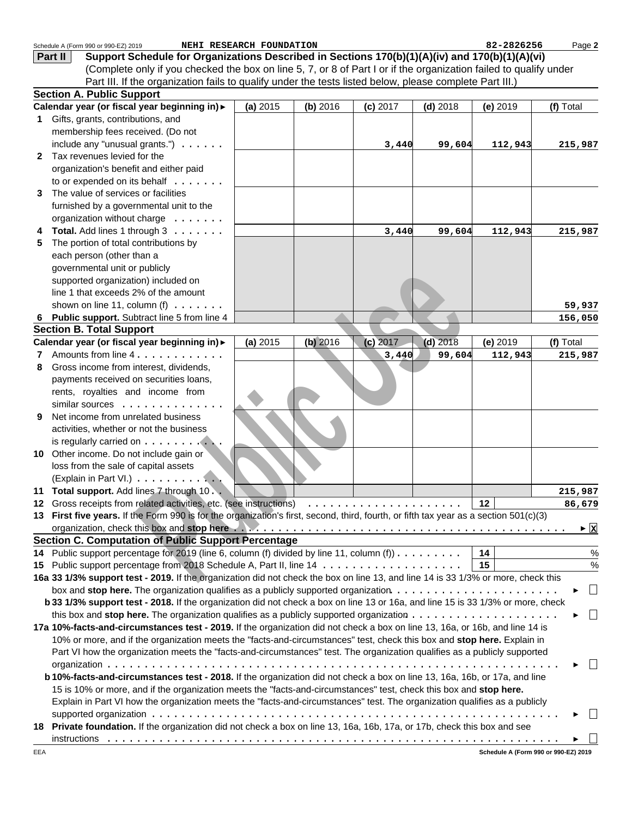|                                                                                                           | Schedule A (Form 990 or 990-EZ) 2019                                                                                                  | NEHI RESEARCH FOUNDATION |          |            |            | 82-2826256      | Page 2        |
|-----------------------------------------------------------------------------------------------------------|---------------------------------------------------------------------------------------------------------------------------------------|--------------------------|----------|------------|------------|-----------------|---------------|
| Support Schedule for Organizations Described in Sections 170(b)(1)(A)(iv) and 170(b)(1)(A)(vi)<br>Part II |                                                                                                                                       |                          |          |            |            |                 |               |
|                                                                                                           | (Complete only if you checked the box on line 5, 7, or 8 of Part I or if the organization failed to qualify under                     |                          |          |            |            |                 |               |
|                                                                                                           | Part III. If the organization fails to qualify under the tests listed below, please complete Part III.)                               |                          |          |            |            |                 |               |
|                                                                                                           | <b>Section A. Public Support</b>                                                                                                      |                          |          |            |            |                 |               |
|                                                                                                           | Calendar year (or fiscal year beginning in) >                                                                                         | (a) 2015                 | (b) 2016 | $(c)$ 2017 | $(d)$ 2018 | $(e)$ 2019      | (f) Total     |
| 1                                                                                                         | Gifts, grants, contributions, and                                                                                                     |                          |          |            |            |                 |               |
|                                                                                                           | membership fees received. (Do not                                                                                                     |                          |          |            |            |                 |               |
|                                                                                                           | include any "unusual grants.") $\ldots \ldots$                                                                                        |                          |          | 3,440      | 99,604     | 112,943         | 215,987       |
|                                                                                                           | 2 Tax revenues levied for the                                                                                                         |                          |          |            |            |                 |               |
|                                                                                                           | organization's benefit and either paid                                                                                                |                          |          |            |            |                 |               |
|                                                                                                           | to or expended on its behalf                                                                                                          |                          |          |            |            |                 |               |
| 3                                                                                                         | The value of services or facilities                                                                                                   |                          |          |            |            |                 |               |
|                                                                                                           | furnished by a governmental unit to the                                                                                               |                          |          |            |            |                 |               |
|                                                                                                           | organization without charge                                                                                                           |                          |          |            |            |                 |               |
|                                                                                                           | Total. Add lines 1 through 3                                                                                                          |                          |          | 3,440      | 99,604     | 112,943         | 215,987       |
| 5                                                                                                         | The portion of total contributions by                                                                                                 |                          |          |            |            |                 |               |
|                                                                                                           | each person (other than a                                                                                                             |                          |          |            |            |                 |               |
|                                                                                                           | governmental unit or publicly                                                                                                         |                          |          |            |            |                 |               |
|                                                                                                           | supported organization) included on                                                                                                   |                          |          |            |            |                 |               |
|                                                                                                           | line 1 that exceeds 2% of the amount                                                                                                  |                          |          |            |            |                 |               |
|                                                                                                           | shown on line 11, column (f) $\ldots \ldots$                                                                                          |                          |          |            |            |                 | 59,937        |
|                                                                                                           | Public support. Subtract line 5 from line 4                                                                                           |                          |          |            |            |                 | 156,050       |
|                                                                                                           | <b>Section B. Total Support</b>                                                                                                       |                          |          |            |            |                 |               |
|                                                                                                           | Calendar year (or fiscal year beginning in) >                                                                                         | (a) 2015                 | (b) 2016 | $(c)$ 2017 | $(d)$ 2018 | $(e)$ 2019      | (f) Total     |
| 7                                                                                                         | Amounts from line 4.                                                                                                                  |                          |          | 3,440      | 99,604     | 112,943         | 215,987       |
| 8                                                                                                         | Gross income from interest, dividends,                                                                                                |                          |          |            |            |                 |               |
|                                                                                                           | payments received on securities loans,                                                                                                |                          |          |            |            |                 |               |
|                                                                                                           | rents, royalties and income from                                                                                                      |                          |          |            |            |                 |               |
|                                                                                                           | similar sources                                                                                                                       |                          |          |            |            |                 |               |
| 9                                                                                                         | Net income from unrelated business                                                                                                    |                          |          |            |            |                 |               |
|                                                                                                           | activities, whether or not the business                                                                                               |                          |          |            |            |                 |               |
|                                                                                                           | is regularly carried on $\dots$                                                                                                       |                          |          |            |            |                 |               |
|                                                                                                           | 10 Other income. Do not include gain or                                                                                               |                          |          |            |            |                 |               |
|                                                                                                           | loss from the sale of capital assets                                                                                                  |                          |          |            |            |                 |               |
|                                                                                                           | (Explain in Part VI.)                                                                                                                 |                          |          |            |            |                 |               |
|                                                                                                           | 11 Total support. Add lines 7 through 10.                                                                                             |                          |          |            |            |                 | 215,987       |
|                                                                                                           | 12 Gross receipts from related activities, etc. (see instructions)                                                                    |                          |          |            |            | 12              | 86,679        |
|                                                                                                           | 13 First five years. If the Form 990 is for the organization's first, second, third, fourth, or fifth tax year as a section 501(c)(3) |                          |          |            |            |                 |               |
|                                                                                                           |                                                                                                                                       |                          |          |            |            |                 | ►  x          |
|                                                                                                           | <b>Section C. Computation of Public Support Percentage</b>                                                                            |                          |          |            |            |                 |               |
| 14                                                                                                        | Public support percentage for 2019 (line 6, column (f) divided by line 11, column (f)) $\dots \dots \dots$                            |                          |          |            |            | $\overline{14}$ | $\%$          |
| 15                                                                                                        |                                                                                                                                       |                          |          |            |            | 15              | $\frac{1}{2}$ |
|                                                                                                           | 16a 33 1/3% support test - 2019. If the organization did not check the box on line 13, and line 14 is 33 1/3% or more, check this     |                          |          |            |            |                 |               |
|                                                                                                           |                                                                                                                                       |                          |          |            |            |                 | $\Box$<br>▶   |
|                                                                                                           | b 33 1/3% support test - 2018. If the organization did not check a box on line 13 or 16a, and line 15 is 33 1/3% or more, check       |                          |          |            |            |                 |               |
|                                                                                                           |                                                                                                                                       |                          |          |            |            |                 | $\Box$        |
|                                                                                                           | 17a 10%-facts-and-circumstances test - 2019. If the organization did not check a box on line 13, 16a, or 16b, and line 14 is          |                          |          |            |            |                 |               |
|                                                                                                           | 10% or more, and if the organization meets the "facts-and-circumstances" test, check this box and stop here. Explain in               |                          |          |            |            |                 |               |
|                                                                                                           | Part VI how the organization meets the "facts-and-circumstances" test. The organization qualifies as a publicly supported             |                          |          |            |            |                 |               |
|                                                                                                           |                                                                                                                                       |                          |          |            |            |                 | $\mathbf{L}$  |
|                                                                                                           | b 10%-facts-and-circumstances test - 2018. If the organization did not check a box on line 13, 16a, 16b, or 17a, and line             |                          |          |            |            |                 |               |
|                                                                                                           | 15 is 10% or more, and if the organization meets the "facts-and-circumstances" test, check this box and stop here.                    |                          |          |            |            |                 |               |
|                                                                                                           | Explain in Part VI how the organization meets the "facts-and-circumstances" test. The organization qualifies as a publicly            |                          |          |            |            |                 |               |
|                                                                                                           |                                                                                                                                       |                          |          |            |            |                 |               |
|                                                                                                           | 18 Private foundation. If the organization did not check a box on line 13, 16a, 16b, 17a, or 17b, check this box and see              |                          |          |            |            |                 |               |
|                                                                                                           |                                                                                                                                       |                          |          |            |            |                 |               |
|                                                                                                           |                                                                                                                                       |                          |          |            |            |                 |               |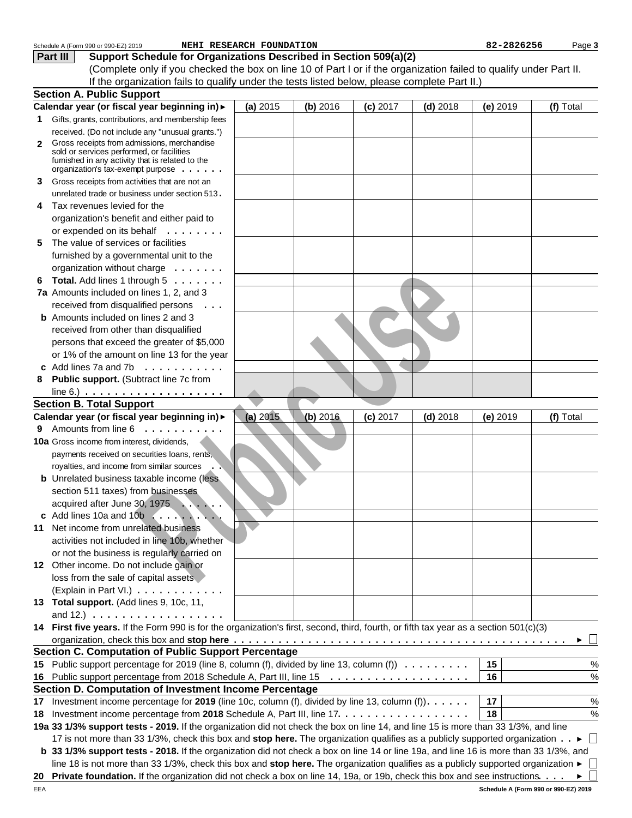|              | Schedule A (Form 990 or 990-EZ) 2019                                                                                                  | NEHI RESEARCH FOUNDATION |          |            |            | 82-2826256 | Page 3       |
|--------------|---------------------------------------------------------------------------------------------------------------------------------------|--------------------------|----------|------------|------------|------------|--------------|
|              | Support Schedule for Organizations Described in Section 509(a)(2)<br>Part III                                                         |                          |          |            |            |            |              |
|              | (Complete only if you checked the box on line 10 of Part I or if the organization failed to qualify under Part II.                    |                          |          |            |            |            |              |
|              | If the organization fails to qualify under the tests listed below, please complete Part II.)                                          |                          |          |            |            |            |              |
|              | <b>Section A. Public Support</b>                                                                                                      |                          |          |            |            |            |              |
|              | Calendar year (or fiscal year beginning in) >                                                                                         | (a) 2015                 | (b) 2016 | $(c)$ 2017 | $(d)$ 2018 | (e) 2019   | (f) Total    |
| 1.           | Gifts, grants, contributions, and membership fees                                                                                     |                          |          |            |            |            |              |
|              | received. (Do not include any "unusual grants.")                                                                                      |                          |          |            |            |            |              |
| $\mathbf{2}$ | Gross receipts from admissions, merchandise                                                                                           |                          |          |            |            |            |              |
|              | sold or services performed, or facilities                                                                                             |                          |          |            |            |            |              |
|              | fumished in any activity that is related to the<br>organization's tax-exempt purpose                                                  |                          |          |            |            |            |              |
| 3            | Gross receipts from activities that are not an                                                                                        |                          |          |            |            |            |              |
|              | unrelated trade or business under section 513.                                                                                        |                          |          |            |            |            |              |
| 4            | Tax revenues levied for the                                                                                                           |                          |          |            |            |            |              |
|              | organization's benefit and either paid to                                                                                             |                          |          |            |            |            |              |
|              | or expended on its behalf                                                                                                             |                          |          |            |            |            |              |
| 5            | The value of services or facilities                                                                                                   |                          |          |            |            |            |              |
|              | furnished by a governmental unit to the                                                                                               |                          |          |            |            |            |              |
|              | organization without charge                                                                                                           |                          |          |            |            |            |              |
| 6            | Total. Add lines 1 through 5                                                                                                          |                          |          |            |            |            |              |
|              | 7a Amounts included on lines 1, 2, and 3                                                                                              |                          |          |            |            |            |              |
|              | received from disqualified persons<br>$\ddotsc$                                                                                       |                          |          |            |            |            |              |
|              | <b>b</b> Amounts included on lines 2 and 3                                                                                            |                          |          |            |            |            |              |
|              | received from other than disqualified                                                                                                 |                          |          |            |            |            |              |
|              | persons that exceed the greater of \$5,000                                                                                            |                          |          |            |            |            |              |
|              | or 1% of the amount on line 13 for the year                                                                                           |                          |          |            |            |            |              |
|              | c Add lines 7a and 7b<br>.                                                                                                            |                          |          |            |            |            |              |
| 8            | Public support. (Subtract line 7c from                                                                                                |                          |          |            |            |            |              |
|              | line 6.) $\ldots \ldots \ldots \ldots \ldots \ldots$                                                                                  |                          |          |            |            |            |              |
|              | <b>Section B. Total Support</b>                                                                                                       |                          |          |            |            |            |              |
|              | Calendar year (or fiscal year beginning in) >                                                                                         | (a) 2015                 | (b) 2016 | $(c)$ 2017 | $(d)$ 2018 | $(e)$ 2019 | (f) Total    |
| 9            | Amounts from line 6                                                                                                                   |                          |          |            |            |            |              |
|              | 10a Gross income from interest, dividends,                                                                                            |                          |          |            |            |            |              |
|              |                                                                                                                                       |                          |          |            |            |            |              |
|              | payments received on securities loans, rents,                                                                                         |                          |          |            |            |            |              |
|              | royalties, and income from similar sources<br><b>b</b> Unrelated business taxable income (less                                        |                          |          |            |            |            |              |
|              | section 511 taxes) from businesses                                                                                                    |                          |          |            |            |            |              |
|              | acquired after June 30, 1975                                                                                                          |                          |          |            |            |            |              |
|              |                                                                                                                                       |                          |          |            |            |            |              |
|              | c Add lines 10a and 10b                                                                                                               |                          |          |            |            |            |              |
|              | 11 Net income from unrelated business                                                                                                 |                          |          |            |            |            |              |
|              | activities not included in line 10b, whether                                                                                          |                          |          |            |            |            |              |
|              | or not the business is regularly carried on                                                                                           |                          |          |            |            |            |              |
|              | 12 Other income. Do not include gain or                                                                                               |                          |          |            |            |            |              |
|              | loss from the sale of capital assets                                                                                                  |                          |          |            |            |            |              |
|              | (Explain in Part VI.)                                                                                                                 |                          |          |            |            |            |              |
|              | 13 Total support. (Add lines 9, 10c, 11,                                                                                              |                          |          |            |            |            |              |
|              | and 12.) $\ldots$                                                                                                                     |                          |          |            |            |            |              |
|              | 14 First five years. If the Form 990 is for the organization's first, second, third, fourth, or fifth tax year as a section 501(c)(3) |                          |          |            |            |            |              |
|              |                                                                                                                                       |                          |          |            |            |            |              |
|              | <b>Section C. Computation of Public Support Percentage</b>                                                                            |                          |          |            |            |            |              |
|              | 15 Public support percentage for 2019 (line 8, column (f), divided by line 13, column (f))                                            |                          |          |            |            | 15         | %            |
|              |                                                                                                                                       |                          |          |            |            | 16         | $\%$         |
|              | Section D. Computation of Investment Income Percentage                                                                                |                          |          |            |            |            |              |
|              | 17 Investment income percentage for 2019 (line 10c, column (f), divided by line 13, column (f)).                                      |                          |          |            |            | 17         | %            |
|              |                                                                                                                                       |                          |          |            |            | 18         | %            |
|              | 19a 33 1/3% support tests - 2019. If the organization did not check the box on line 14, and line 15 is more than 33 1/3%, and line    |                          |          |            |            |            |              |
|              | 17 is not more than 33 1/3%, check this box and stop here. The organization qualifies as a publicly supported organization ►          |                          |          |            |            |            | $\mathbf{L}$ |
|              | b 33 1/3% support tests - 2018. If the organization did not check a box on line 14 or line 19a, and line 16 is more than 33 1/3%, and |                          |          |            |            |            |              |
|              | line 18 is not more than 33 1/3%, check this box and stop here. The organization qualifies as a publicly supported organization ►     |                          |          |            |            |            |              |
| 20           | Private foundation. If the organization did not check a box on line 14, 19a, or 19b, check this box and see instructions. ▶           |                          |          |            |            |            |              |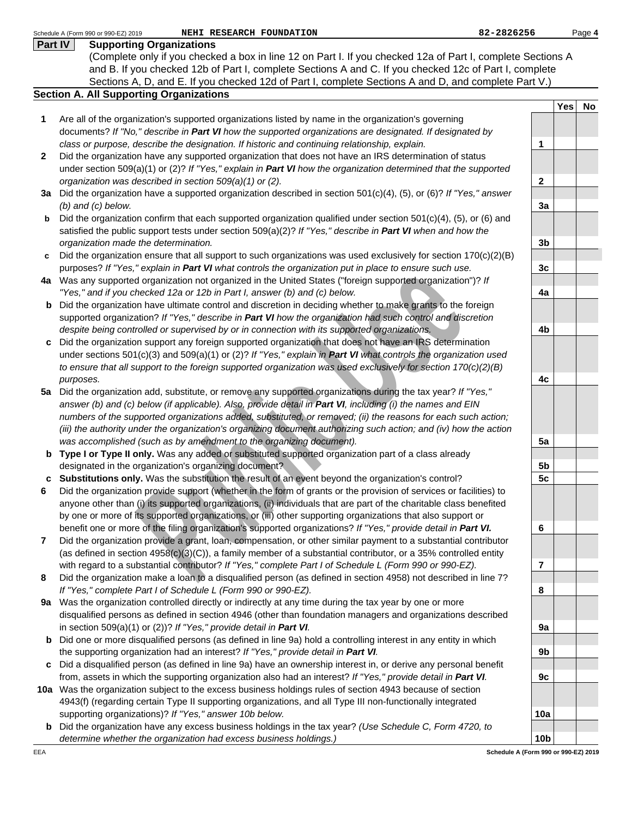|                | 82-2826256<br>Schedule A (Form 990 or 990-EZ) 2019<br>NEHI RESEARCH FOUNDATION                                         |                                      |            | Page 4    |
|----------------|------------------------------------------------------------------------------------------------------------------------|--------------------------------------|------------|-----------|
| Part IV        | <b>Supporting Organizations</b>                                                                                        |                                      |            |           |
|                | (Complete only if you checked a box in line 12 on Part I. If you checked 12a of Part I, complete Sections A            |                                      |            |           |
|                | and B. If you checked 12b of Part I, complete Sections A and C. If you checked 12c of Part I, complete                 |                                      |            |           |
|                | Sections A, D, and E. If you checked 12d of Part I, complete Sections A and D, and complete Part V.)                   |                                      |            |           |
|                | <b>Section A. All Supporting Organizations</b>                                                                         |                                      |            |           |
|                |                                                                                                                        |                                      | <b>Yes</b> | <b>No</b> |
| 1              | Are all of the organization's supported organizations listed by name in the organization's governing                   |                                      |            |           |
|                | documents? If "No," describe in Part VI how the supported organizations are designated. If designated by               |                                      |            |           |
|                | class or purpose, describe the designation. If historic and continuing relationship, explain.                          | 1                                    |            |           |
| $\overline{2}$ | Did the organization have any supported organization that does not have an IRS determination of status                 |                                      |            |           |
|                | under section 509(a)(1) or (2)? If "Yes," explain in <b>Part VI</b> how the organization determined that the supported |                                      |            |           |
|                | organization was described in section 509(a)(1) or (2).                                                                | $\mathbf{2}$                         |            |           |
|                | 3a Did the organization have a supported organization described in section $501(c)(4)$ , (5), or (6)? If "Yes," answer |                                      |            |           |
|                | $(b)$ and $(c)$ below.                                                                                                 | 3a                                   |            |           |
| b              | Did the organization confirm that each supported organization qualified under section $501(c)(4)$ , (5), or (6) and    |                                      |            |           |
|                | satisfied the public support tests under section $509(a)(2)?$ If "Yes," describe in Part VI when and how the           |                                      |            |           |
|                |                                                                                                                        |                                      |            |           |
|                | organization made the determination.                                                                                   | 3 <sub>b</sub>                       |            |           |
| c              | Did the organization ensure that all support to such organizations was used exclusively for section $170(c)(2)(B)$     |                                      |            |           |
|                | purposes? If "Yes," explain in Part VI what controls the organization put in place to ensure such use.                 | 3c                                   |            |           |
|                | 4a Was any supported organization not organized in the United States ("foreign supported organization")? If            |                                      |            |           |
|                | "Yes," and if you checked 12a or 12b in Part I, answer (b) and (c) below.                                              | 4a                                   |            |           |
| b              | Did the organization have ultimate control and discretion in deciding whether to make grants to the foreign            |                                      |            |           |
|                | supported organization? If "Yes," describe in Part VI how the organization had such control and discretion             |                                      |            |           |
|                | despite being controlled or supervised by or in connection with its supported organizations.                           | 4 <sub>b</sub>                       |            |           |
|                | Did the organization support any foreign supported organization that does not have an IRS determination                |                                      |            |           |
|                | under sections 501(c)(3) and 509(a)(1) or (2)? If "Yes," explain in Part VI what controls the organization used        |                                      |            |           |
|                | to ensure that all support to the foreign supported organization was used exclusively for section 170(c)(2)(B)         |                                      |            |           |
|                | purposes.                                                                                                              | 4c                                   |            |           |
|                | 5a Did the organization add, substitute, or remove any supported organizations during the tax year? If "Yes,"          |                                      |            |           |
|                | answer (b) and (c) below (if applicable). Also, provide detail in Part VI, including (i) the names and EIN             |                                      |            |           |
|                | numbers of the supported organizations added, substituted, or removed; (ii) the reasons for each such action;          |                                      |            |           |
|                | (iii) the authority under the organization's organizing document authorizing such action; and (iv) how the action      |                                      |            |           |
|                | was accomplished (such as by amendment to the organizing document).                                                    | 5a                                   |            |           |
| b              | Type I or Type II only. Was any added or substituted supported organization part of a class already                    |                                      |            |           |
|                | designated in the organization's organizing document?                                                                  | 5 <sub>b</sub>                       |            |           |
|                | c Substitutions only. Was the substitution the result of an event beyond the organization's control?                   | 5c                                   |            |           |
|                | Did the organization provide support (whether in the form of grants or the provision of services or facilities) to     |                                      |            |           |
|                | anyone other than (i) its supported organizations, (ii) individuals that are part of the charitable class benefited    |                                      |            |           |
|                | by one or more of its supported organizations, or (iii) other supporting organizations that also support or            |                                      |            |           |
|                | benefit one or more of the filing organization's supported organizations? If "Yes," provide detail in Part VI.         | 6                                    |            |           |
| 7              | Did the organization provide a grant, loan, compensation, or other similar payment to a substantial contributor        |                                      |            |           |
|                | (as defined in section $4958(c)(3)(C)$ ), a family member of a substantial contributor, or a 35% controlled entity     |                                      |            |           |
|                | with regard to a substantial contributor? If "Yes," complete Part I of Schedule L (Form 990 or 990-EZ).                | 7                                    |            |           |
| 8              | Did the organization make a loan to a disqualified person (as defined in section 4958) not described in line 7?        |                                      |            |           |
|                | If "Yes," complete Part I of Schedule L (Form 990 or 990-EZ).                                                          | 8                                    |            |           |
| 9а             | Was the organization controlled directly or indirectly at any time during the tax year by one or more                  |                                      |            |           |
|                | disqualified persons as defined in section 4946 (other than foundation managers and organizations described            |                                      |            |           |
|                | in section 509(a)(1) or (2))? If "Yes," provide detail in Part VI.                                                     | 9a                                   |            |           |
| b              | Did one or more disqualified persons (as defined in line 9a) hold a controlling interest in any entity in which        |                                      |            |           |
|                |                                                                                                                        | 9b                                   |            |           |
|                | the supporting organization had an interest? If "Yes," provide detail in Part VI.                                      |                                      |            |           |
| c              | Did a disqualified person (as defined in line 9a) have an ownership interest in, or derive any personal benefit        |                                      |            |           |
|                | from, assets in which the supporting organization also had an interest? If "Yes," provide detail in Part VI.           | 9c                                   |            |           |
|                | 10a Was the organization subject to the excess business holdings rules of section 4943 because of section              |                                      |            |           |
|                | 4943(f) (regarding certain Type II supporting organizations, and all Type III non-functionally integrated              |                                      |            |           |
|                | supporting organizations)? If "Yes," answer 10b below.                                                                 | 10a                                  |            |           |
| b              | Did the organization have any excess business holdings in the tax year? (Use Schedule C, Form 4720, to                 |                                      |            |           |
|                | determine whether the organization had excess business holdings.)                                                      | 10 <sub>b</sub>                      |            |           |
| EEA            |                                                                                                                        | Schedule A (Form 990 or 990-EZ) 2019 |            |           |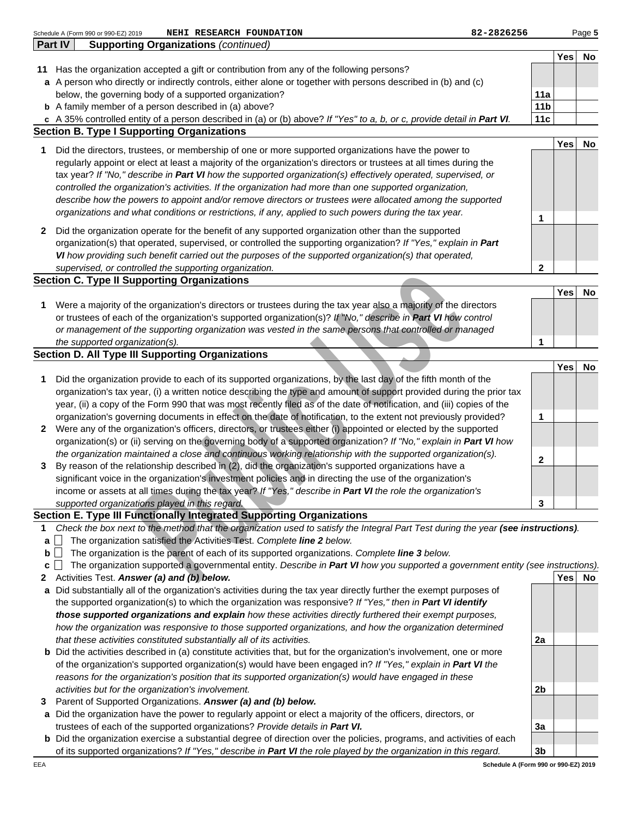|              | NEHI RESEARCH FOUNDATION<br>Schedule A (Form 990 or 990-EZ) 2019                                                                                                 | 82-2826256      |            | Page 5 |
|--------------|------------------------------------------------------------------------------------------------------------------------------------------------------------------|-----------------|------------|--------|
|              | <b>Supporting Organizations (continued)</b><br><b>Part IV</b>                                                                                                    |                 |            |        |
|              |                                                                                                                                                                  |                 | Yes        | No     |
|              | 11 Has the organization accepted a gift or contribution from any of the following persons?                                                                       |                 |            |        |
|              | a A person who directly or indirectly controls, either alone or together with persons described in (b) and (c)                                                   |                 |            |        |
|              | below, the governing body of a supported organization?                                                                                                           | 11a             |            |        |
|              | <b>b</b> A family member of a person described in (a) above?                                                                                                     | 11 <sub>b</sub> |            |        |
|              | c A 35% controlled entity of a person described in (a) or (b) above? If "Yes" to a, b, or c, provide detail in Part VI.                                          | 11c             |            |        |
|              | <b>Section B. Type I Supporting Organizations</b>                                                                                                                |                 |            |        |
| 1            | Did the directors, trustees, or membership of one or more supported organizations have the power to                                                              |                 | Yes        | No     |
|              | regularly appoint or elect at least a majority of the organization's directors or trustees at all times during the                                               |                 |            |        |
|              | tax year? If "No," describe in Part VI how the supported organization(s) effectively operated, supervised, or                                                    |                 |            |        |
|              | controlled the organization's activities. If the organization had more than one supported organization,                                                          |                 |            |        |
|              | describe how the powers to appoint and/or remove directors or trustees were allocated among the supported                                                        |                 |            |        |
|              | organizations and what conditions or restrictions, if any, applied to such powers during the tax year.                                                           |                 |            |        |
|              |                                                                                                                                                                  | 1               |            |        |
| 2            | Did the organization operate for the benefit of any supported organization other than the supported                                                              |                 |            |        |
|              | organization(s) that operated, supervised, or controlled the supporting organization? If "Yes," explain in Part                                                  |                 |            |        |
|              | VI how providing such benefit carried out the purposes of the supported organization(s) that operated,<br>supervised, or controlled the supporting organization. |                 |            |        |
|              | <b>Section C. Type II Supporting Organizations</b>                                                                                                               | $\mathbf 2$     |            |        |
|              |                                                                                                                                                                  |                 | Yes        | No     |
| 1            | Were a majority of the organization's directors or trustees during the tax year also a majority of the directors                                                 |                 |            |        |
|              | or trustees of each of the organization's supported organization(s)? If "No," describe in Part VI how control                                                    |                 |            |        |
|              | or management of the supporting organization was vested in the same persons that controlled or managed                                                           |                 |            |        |
|              | the supported organization(s).                                                                                                                                   | 1               |            |        |
|              | <b>Section D. All Type III Supporting Organizations</b>                                                                                                          |                 |            |        |
|              |                                                                                                                                                                  |                 | Yes        | No     |
| 1            | Did the organization provide to each of its supported organizations, by the last day of the fifth month of the                                                   |                 |            |        |
|              | organization's tax year, (i) a written notice describing the type and amount of support provided during the prior tax                                            |                 |            |        |
|              | year, (ii) a copy of the Form 990 that was most recently filed as of the date of notification, and (iii) copies of the                                           |                 |            |        |
|              | organization's governing documents in effect on the date of notification, to the extent not previously provided?                                                 | 1               |            |        |
| $\mathbf{2}$ | Were any of the organization's officers, directors, or trustees either (i) appointed or elected by the supported                                                 |                 |            |        |
|              | organization(s) or (ii) serving on the governing body of a supported organization? If "No," explain in Part VI how                                               |                 |            |        |
|              | the organization maintained a close and continuous working relationship with the supported organization(s).                                                      |                 |            |        |
| 3            | By reason of the relationship described in (2), did the organization's supported organizations have a                                                            | 2               |            |        |
|              | significant voice in the organization's investment policies and in directing the use of the organization's                                                       |                 |            |        |
|              | income or assets at all times during the tax year? If "Yes," describe in Part VI the role the organization's                                                     |                 |            |        |
|              | supported organizations played in this regard.                                                                                                                   | 3               |            |        |
|              | Section E. Type III Functionally Integrated Supporting Organizations                                                                                             |                 |            |        |
| 1            | Check the box next to the method that the organization used to satisfy the Integral Part Test during the year (see instructions).                                |                 |            |        |
| a            | The organization satisfied the Activities Test. Complete line 2 below.                                                                                           |                 |            |        |
| b            | The organization is the parent of each of its supported organizations. Complete line 3 below.                                                                    |                 |            |        |
| c            | The organization supported a governmental entity. Describe in Part VI how you supported a government entity (see instructions).                                  |                 |            |        |
| 2            | Activities Test. Answer (a) and (b) below.                                                                                                                       |                 | <b>Yes</b> | No     |
| a            | Did substantially all of the organization's activities during the tax year directly further the exempt purposes of                                               |                 |            |        |
|              | the supported organization(s) to which the organization was responsive? If "Yes," then in Part VI identify                                                       |                 |            |        |
|              | those supported organizations and explain how these activities directly furthered their exempt purposes,                                                         |                 |            |        |
|              | how the organization was responsive to those supported organizations, and how the organization determined                                                        |                 |            |        |
|              | that these activities constituted substantially all of its activities.                                                                                           | 2a              |            |        |
|              | <b>b</b> Did the activities described in (a) constitute activities that, but for the organization's involvement, one or more                                     |                 |            |        |
|              | of the organization's supported organization(s) would have been engaged in? If "Yes," explain in Part VI the                                                     |                 |            |        |

#### **Section E. Type III Functionally Integrated Supporting Organizations**

- **1** Check the box next to the method that the organization used to satisfy the Integral Part Test during the year **(see instructions)**.
- **a** The organization satisfied the Activities Test. Complete **line 2** below.
- **b**  $\Box$  The organization is the parent of each of its supported organizations. Complete **line 3** below.
- **c** The organization supported a governmental entity. Describe in **Part VI** how you supported a government entity (see instructions).
- **2 Yes No** Activities Test. **Answer (a) and (b) below.**
- **a** Did substantially all of the organization's activities during the tax year directly further the exempt purposes of the supported organization(s) to which the organization was responsive? If "Yes," then in **Part VI identify those supported organizations and explain** how these activities directly furthered their exempt purposes, how the organization was responsive to those supported organizations, and how the organization determined that these activities constituted substantially all of its activities.
- **b** Did the activities described in (a) constitute activities that, but for the organization's involvement, one or more of the organization's supported organization(s) would have been engaged in? If "Yes," explain in **Part VI** the reasons for the organization's position that its supported organization(s) would have engaged in these activities but for the organization's involvement.
- **3** Parent of Supported Organizations. **Answer (a) and (b) below.**
- **a** Did the organization have the power to regularly appoint or elect a majority of the officers, directors, or trustees of each of the supported organizations? Provide details in **Part VI.**
- **b** Did the organization exercise a substantial degree of direction over the policies, programs, and activities of each of its supported organizations? If "Yes," describe in **Part VI** the role played by the organization in this regard.

**2b**

**3a**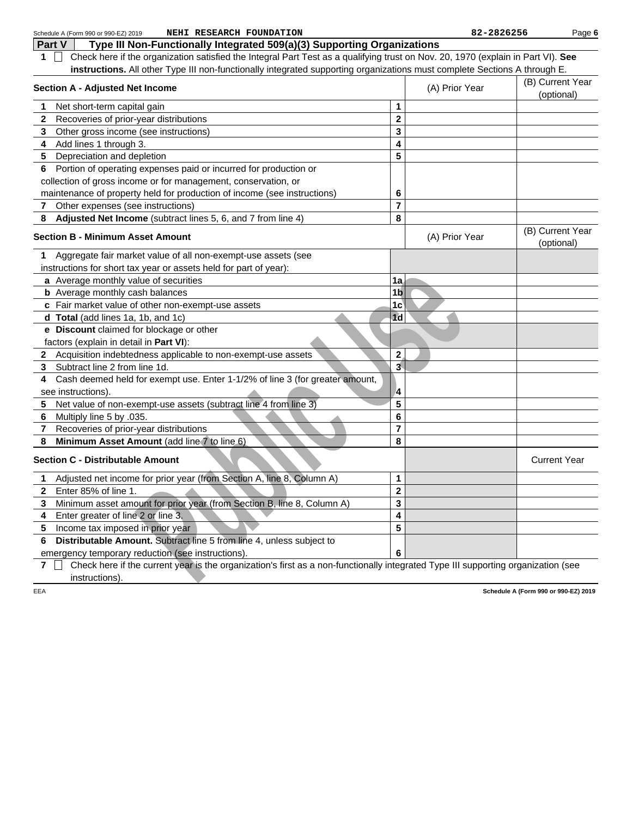|     | NEHI RESEARCH FOUNDATION<br>Schedule A (Form 990 or 990-EZ) 2019                                                                  |                         | 82-2826256     | Page 6                               |
|-----|-----------------------------------------------------------------------------------------------------------------------------------|-------------------------|----------------|--------------------------------------|
|     | Type III Non-Functionally Integrated 509(a)(3) Supporting Organizations<br>Part V                                                 |                         |                |                                      |
| 1.  | Check here if the organization satisfied the Integral Part Test as a qualifying trust on Nov. 20, 1970 (explain in Part VI). See  |                         |                |                                      |
|     | instructions. All other Type III non-functionally integrated supporting organizations must complete Sections A through E.         |                         |                |                                      |
|     | <b>Section A - Adjusted Net Income</b>                                                                                            |                         | (A) Prior Year | (B) Current Year<br>(optional)       |
| 1   | Net short-term capital gain                                                                                                       | 1                       |                |                                      |
| 2   | Recoveries of prior-year distributions                                                                                            | $\mathbf{2}$            |                |                                      |
| 3   | Other gross income (see instructions)                                                                                             | 3                       |                |                                      |
| 4   | Add lines 1 through 3.                                                                                                            | 4                       |                |                                      |
| 5   | Depreciation and depletion                                                                                                        | 5                       |                |                                      |
| 6   | Portion of operating expenses paid or incurred for production or                                                                  |                         |                |                                      |
|     | collection of gross income or for management, conservation, or                                                                    |                         |                |                                      |
|     | maintenance of property held for production of income (see instructions)                                                          | 6                       |                |                                      |
| 7   | Other expenses (see instructions)                                                                                                 | $\overline{7}$          |                |                                      |
| 8   | Adjusted Net Income (subtract lines 5, 6, and 7 from line 4)                                                                      | 8                       |                |                                      |
|     | <b>Section B - Minimum Asset Amount</b>                                                                                           |                         | (A) Prior Year | (B) Current Year                     |
| 1   | Aggregate fair market value of all non-exempt-use assets (see                                                                     |                         |                | (optional)                           |
|     | instructions for short tax year or assets held for part of year):                                                                 |                         |                |                                      |
|     | a Average monthly value of securities                                                                                             | 1a                      |                |                                      |
|     | <b>b</b> Average monthly cash balances                                                                                            | 1 <sub>b</sub>          |                |                                      |
|     | c Fair market value of other non-exempt-use assets                                                                                | 1c                      |                |                                      |
|     | d Total (add lines 1a, 1b, and 1c)                                                                                                | 1 <sub>d</sub>          |                |                                      |
|     | e Discount claimed for blockage or other                                                                                          |                         |                |                                      |
|     | factors (explain in detail in Part VI):                                                                                           |                         |                |                                      |
| 2   | Acquisition indebtedness applicable to non-exempt-use assets                                                                      | $\overline{2}$          |                |                                      |
| 3   | Subtract line 2 from line 1d.                                                                                                     | $\overline{\mathbf{3}}$ |                |                                      |
| 4   | Cash deemed held for exempt use. Enter 1-1/2% of line 3 (for greater amount,                                                      |                         |                |                                      |
|     | see instructions).                                                                                                                | 4                       |                |                                      |
| 5   | Net value of non-exempt-use assets (subtract line 4 from line 3)                                                                  | 5                       |                |                                      |
| 6   | Multiply line 5 by .035.                                                                                                          | 6                       |                |                                      |
| 7   | Recoveries of prior-year distributions                                                                                            | $\overline{7}$          |                |                                      |
| 8   | Minimum Asset Amount (add line 7 to line 6)                                                                                       | 8                       |                |                                      |
|     | <b>Section C - Distributable Amount</b>                                                                                           |                         |                | <b>Current Year</b>                  |
|     |                                                                                                                                   |                         |                |                                      |
| 1   | Adjusted net income for prior year (from Section A, line 8, Column A)                                                             | 1                       |                |                                      |
| 2   | Enter 85% of line 1.                                                                                                              | 2                       |                |                                      |
| 3   | Minimum asset amount for prior year (from Section B, line 8, Column A)                                                            | 3                       |                |                                      |
| 4   | Enter greater of line 2 or line 3.                                                                                                | 4                       |                |                                      |
| 5   | Income tax imposed in prior year                                                                                                  | 5                       |                |                                      |
| 6   | Distributable Amount. Subtract line 5 from line 4, unless subject to                                                              |                         |                |                                      |
|     | emergency temporary reduction (see instructions).                                                                                 | 6                       |                |                                      |
| 7   | Check here if the current year is the organization's first as a non-functionally integrated Type III supporting organization (see |                         |                |                                      |
|     | instructions).                                                                                                                    |                         |                |                                      |
| EEA |                                                                                                                                   |                         |                | Schedule A (Form 990 or 990-EZ) 2019 |
|     |                                                                                                                                   |                         |                |                                      |
|     |                                                                                                                                   |                         |                |                                      |
|     |                                                                                                                                   |                         |                |                                      |
|     |                                                                                                                                   |                         |                |                                      |
|     |                                                                                                                                   |                         |                |                                      |
|     |                                                                                                                                   |                         |                |                                      |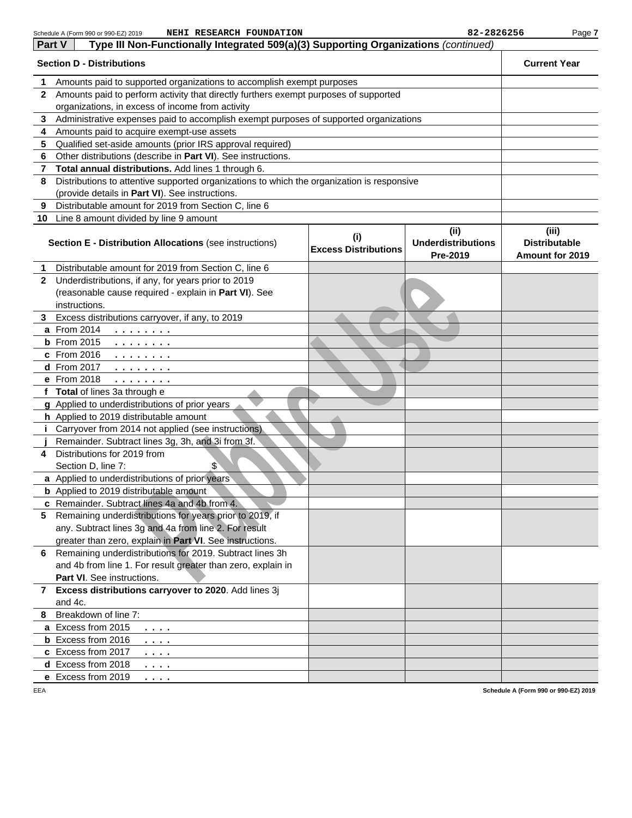|              | NEHI RESEARCH FOUNDATION<br>Schedule A (Form 990 or 990-EZ) 2019                                        |                             | 82-2826256                | Page 7                               |
|--------------|---------------------------------------------------------------------------------------------------------|-----------------------------|---------------------------|--------------------------------------|
| Part V       | Type III Non-Functionally Integrated 509(a)(3) Supporting Organizations (continued)                     |                             |                           |                                      |
|              | <b>Section D - Distributions</b>                                                                        |                             |                           | <b>Current Year</b>                  |
| 1            | Amounts paid to supported organizations to accomplish exempt purposes                                   |                             |                           |                                      |
| $\mathbf{2}$ | Amounts paid to perform activity that directly furthers exempt purposes of supported                    |                             |                           |                                      |
|              | organizations, in excess of income from activity                                                        |                             |                           |                                      |
| 3            | Administrative expenses paid to accomplish exempt purposes of supported organizations                   |                             |                           |                                      |
| 4            | Amounts paid to acquire exempt-use assets                                                               |                             |                           |                                      |
| 5            | Qualified set-aside amounts (prior IRS approval required)                                               |                             |                           |                                      |
| 6            | Other distributions (describe in Part VI). See instructions.                                            |                             |                           |                                      |
| 7            | Total annual distributions. Add lines 1 through 6.                                                      |                             |                           |                                      |
| 8            | Distributions to attentive supported organizations to which the organization is responsive              |                             |                           |                                      |
|              | (provide details in Part VI). See instructions.                                                         |                             |                           |                                      |
| 9            | Distributable amount for 2019 from Section C, line 6                                                    |                             |                           |                                      |
|              | 10 Line 8 amount divided by line 9 amount                                                               |                             | (ii)                      | (iii)                                |
|              | <b>Section E - Distribution Allocations (see instructions)</b>                                          | (i)                         | <b>Underdistributions</b> | <b>Distributable</b>                 |
|              |                                                                                                         | <b>Excess Distributions</b> | Pre-2019                  | Amount for 2019                      |
| 1            | Distributable amount for 2019 from Section C, line 6                                                    |                             |                           |                                      |
|              | 2 Underdistributions, if any, for years prior to 2019                                                   |                             |                           |                                      |
|              | (reasonable cause required - explain in Part VI). See                                                   |                             |                           |                                      |
|              | instructions.                                                                                           |                             |                           |                                      |
| 3            | Excess distributions carryover, if any, to 2019                                                         |                             |                           |                                      |
|              | a From 2014<br>.                                                                                        |                             |                           |                                      |
|              | <b>b</b> From 2015                                                                                      |                             |                           |                                      |
|              | c From 2016                                                                                             |                             |                           |                                      |
|              | <b>d</b> From 2017<br>.                                                                                 |                             |                           |                                      |
|              | e From 2018<br>.                                                                                        |                             |                           |                                      |
|              | f Total of lines 3a through e                                                                           |                             |                           |                                      |
|              | g Applied to underdistributions of prior years                                                          |                             |                           |                                      |
|              | h Applied to 2019 distributable amount                                                                  |                             |                           |                                      |
|              | Carryover from 2014 not applied (see instructions)<br>Remainder. Subtract lines 3g, 3h, and 3i from 3f. |                             |                           |                                      |
| 4            | Distributions for 2019 from                                                                             |                             |                           |                                      |
|              | Section D, line 7:<br>\$`                                                                               |                             |                           |                                      |
|              | a Applied to underdistributions of prior years                                                          |                             |                           |                                      |
|              | <b>b</b> Applied to 2019 distributable amount                                                           |                             |                           |                                      |
|              | c Remainder. Subtract lines 4a and 4b from 4.                                                           |                             |                           |                                      |
|              | 5 Remaining underdistributions for years prior to 2019, if                                              |                             |                           |                                      |
|              | any. Subtract lines 3g and 4a from line 2. For result                                                   |                             |                           |                                      |
|              | greater than zero, explain in Part VI. See instructions.                                                |                             |                           |                                      |
|              | 6 Remaining underdistributions for 2019. Subtract lines 3h                                              |                             |                           |                                      |
|              | and 4b from line 1. For result greater than zero, explain in                                            |                             |                           |                                      |
|              | Part VI. See instructions.                                                                              |                             |                           |                                      |
|              | 7 Excess distributions carryover to 2020. Add lines 3j                                                  |                             |                           |                                      |
|              | and 4c.                                                                                                 |                             |                           |                                      |
| 8            | Breakdown of line 7:                                                                                    |                             |                           |                                      |
|              | a Excess from 2015<br>.                                                                                 |                             |                           |                                      |
|              | <b>b</b> Excess from 2016<br>.                                                                          |                             |                           |                                      |
|              | c Excess from 2017<br>.                                                                                 |                             |                           |                                      |
|              | d Excess from 2018<br>.                                                                                 |                             |                           |                                      |
|              | e Excess from 2019<br>.                                                                                 |                             |                           |                                      |
| EEA          |                                                                                                         |                             |                           | Schedule A (Form 990 or 990-EZ) 2019 |

**Schedule A (Form 990 or 990-EZ) 2019**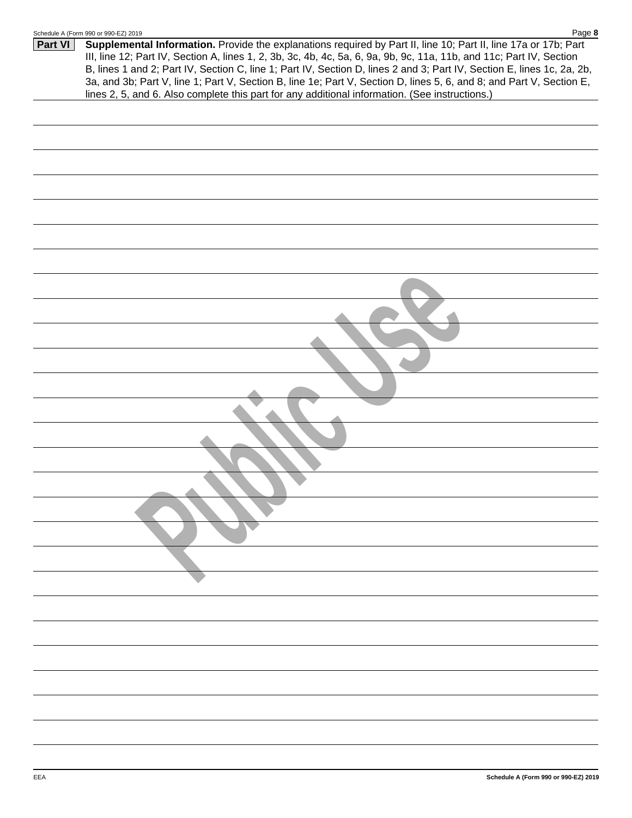|                | Page 8<br>Schedule A (Form 990 or 990-EZ) 2019                                                                                                                                                                                                                                                                                                                                                                                                                                                                                                                                              |
|----------------|---------------------------------------------------------------------------------------------------------------------------------------------------------------------------------------------------------------------------------------------------------------------------------------------------------------------------------------------------------------------------------------------------------------------------------------------------------------------------------------------------------------------------------------------------------------------------------------------|
| <b>Part VI</b> | Supplemental Information. Provide the explanations required by Part II, line 10; Part II, line 17a or 17b; Part<br>III, line 12; Part IV, Section A, lines 1, 2, 3b, 3c, 4b, 4c, 5a, 6, 9a, 9b, 9c, 11a, 11b, and 11c; Part IV, Section<br>B, lines 1 and 2; Part IV, Section C, line 1; Part IV, Section D, lines 2 and 3; Part IV, Section E, lines 1c, 2a, 2b,<br>3a, and 3b; Part V, line 1; Part V, Section B, line 1e; Part V, Section D, lines 5, 6, and 8; and Part V, Section E,<br>lines 2, 5, and 6. Also complete this part for any additional information. (See instructions.) |
|                |                                                                                                                                                                                                                                                                                                                                                                                                                                                                                                                                                                                             |
|                |                                                                                                                                                                                                                                                                                                                                                                                                                                                                                                                                                                                             |
|                |                                                                                                                                                                                                                                                                                                                                                                                                                                                                                                                                                                                             |
|                |                                                                                                                                                                                                                                                                                                                                                                                                                                                                                                                                                                                             |
|                |                                                                                                                                                                                                                                                                                                                                                                                                                                                                                                                                                                                             |
|                |                                                                                                                                                                                                                                                                                                                                                                                                                                                                                                                                                                                             |
|                |                                                                                                                                                                                                                                                                                                                                                                                                                                                                                                                                                                                             |
|                |                                                                                                                                                                                                                                                                                                                                                                                                                                                                                                                                                                                             |
|                |                                                                                                                                                                                                                                                                                                                                                                                                                                                                                                                                                                                             |
|                |                                                                                                                                                                                                                                                                                                                                                                                                                                                                                                                                                                                             |
|                |                                                                                                                                                                                                                                                                                                                                                                                                                                                                                                                                                                                             |
|                |                                                                                                                                                                                                                                                                                                                                                                                                                                                                                                                                                                                             |
|                |                                                                                                                                                                                                                                                                                                                                                                                                                                                                                                                                                                                             |
|                |                                                                                                                                                                                                                                                                                                                                                                                                                                                                                                                                                                                             |
|                |                                                                                                                                                                                                                                                                                                                                                                                                                                                                                                                                                                                             |
|                |                                                                                                                                                                                                                                                                                                                                                                                                                                                                                                                                                                                             |
|                |                                                                                                                                                                                                                                                                                                                                                                                                                                                                                                                                                                                             |
|                |                                                                                                                                                                                                                                                                                                                                                                                                                                                                                                                                                                                             |
|                |                                                                                                                                                                                                                                                                                                                                                                                                                                                                                                                                                                                             |
|                |                                                                                                                                                                                                                                                                                                                                                                                                                                                                                                                                                                                             |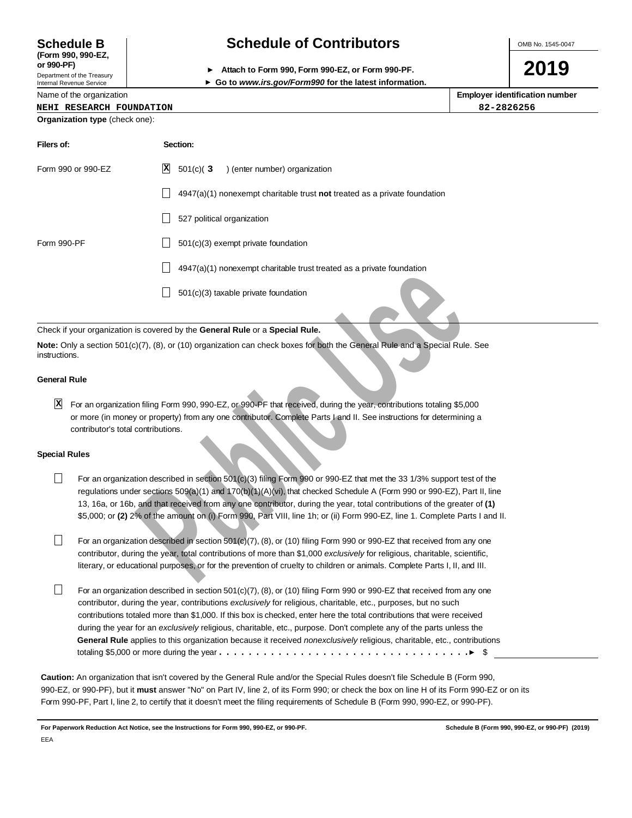# **(Form 990, 990-EZ,**

#### Department of the Treasury Internal Revenue Service

# **Schedule B Schedule of Contributors**

**or 990-PF) Attach to Form 990, Form 990-EZ, or Form 990-PF.**

#### **Go to www.irs.gov/Form990 for the latest information.**

OMB No. 1545-0047

**2019**

| Name of the organization              | <b>Employer identification number</b> |  |  |  |  |
|---------------------------------------|---------------------------------------|--|--|--|--|
| NEHI RESEARCH FOUNDATION              | 82-2826256                            |  |  |  |  |
| <b>Organization type</b> (check one): |                                       |  |  |  |  |

| Filers of:         | Section:                                                                    |
|--------------------|-----------------------------------------------------------------------------|
| Form 990 or 990-EZ | ⊠<br>$501(c)$ (3<br>) (enter number) organization                           |
|                    | $4947(a)(1)$ nonexempt charitable trust not treated as a private foundation |
|                    | 527 political organization                                                  |
| Form 990-PF        | 501(c)(3) exempt private foundation                                         |
|                    | 4947(a)(1) nonexempt charitable trust treated as a private foundation       |
|                    | 501(c)(3) taxable private foundation                                        |

### Check if your organization is covered by the **General Rule** or a **Special Rule.**

**Note:** Only a section 501(c)(7), (8), or (10) organization can check boxes for both the General Rule and a Special Rule. See instructions.

#### **General Rule**

For an organization filing Form 990, 990-EZ, or 990-PF that received, during the year, contributions totaling \$5,000 **X**or more (in money or property) from any one contributor. Complete Parts I and II. See instructions for determining a contributor's total contributions.

#### **Special Rules**

- For an organization described in section 501(c)(3) filing Form 990 or 990-EZ that met the 33 1/3% support test of the  $\Box$ regulations under sections 509(a)(1) and 170(b)(1)(A)(vi), that checked Schedule A (Form 990 or 990-EZ), Part II, line 13, 16a, or 16b, and that received from any one contributor, during the year, total contributions of the greater of **(1)** \$5,000; or **(2)** 2% of the amount on (i) Form 990, Part VIII, line 1h; or (ii) Form 990-EZ, line 1. Complete Parts I and II.
- П For an organization described in section 501(c)(7), (8), or (10) filing Form 990 or 990-EZ that received from any one contributor, during the year, total contributions of more than \$1,000 exclusively for religious, charitable, scientific, literary, or educational purposes, or for the prevention of cruelty to children or animals. Complete Parts I, II, and III.
- **La search of the General Rule or a Special Rule.**<br> **Control is covered by the General Rule or a Special Rule.**<br> **Control is covered by the General Rule or a Special Rule.**<br> **Public User Special Rule or a Special Rule.**<br> П For an organization described in section 501(c)(7), (8), or (10) filing Form 990 or 990-EZ that received from any one contributor, during the year, contributions exclusively for religious, charitable, etc., purposes, but no such contributions totaled more than \$1,000. If this box is checked, enter here the total contributions that were received during the year for an exclusively religious, charitable, etc., purpose. Don't complete any of the parts unless the **General Rule** applies to this organization because it received nonexclusively religious, charitable, etc., contributions totaling \$5,000 or more during the year  $\dots\dots\dots\dots\dots\dots\dots\dots\dots\dots\dots\dots\dots\dots\dots\dots$

**Caution:** An organization that isn't covered by the General Rule and/or the Special Rules doesn't file Schedule B (Form 990, 990-EZ, or 990-PF), but it **must** answer "No" on Part IV, line 2, of its Form 990; or check the box on line H of its Form 990-EZ or on its Form 990-PF, Part I, line 2, to certify that it doesn't meet the filing requirements of Schedule B (Form 990, 990-EZ, or 990-PF).

**For Paperwork Reduction Act Notice, see the Instructions for Form 990, 990-EZ, or 990-PF. Schedule B (Form 990, 990-EZ, or 990-PF) (2019)**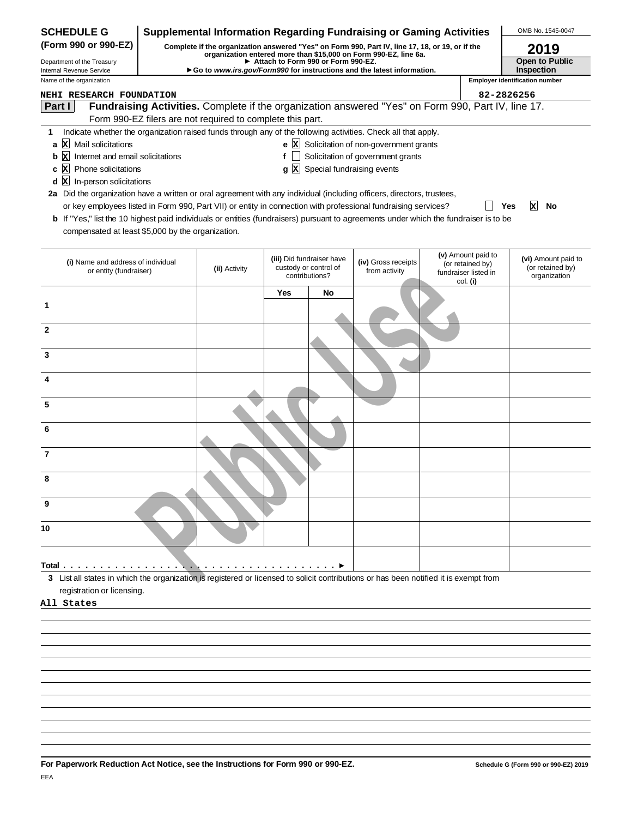| <b>SCHEDULE G</b>                                                                                                                                                   |                                                                                                                                                                     |                                                            |           |                                                                      | <b>Supplemental Information Regarding Fundraising or Gaming Activities</b>                         |  |                                                                | OMB No. 1545-0047                                       |
|---------------------------------------------------------------------------------------------------------------------------------------------------------------------|---------------------------------------------------------------------------------------------------------------------------------------------------------------------|------------------------------------------------------------|-----------|----------------------------------------------------------------------|----------------------------------------------------------------------------------------------------|--|----------------------------------------------------------------|---------------------------------------------------------|
| (Form 990 or 990-EZ)                                                                                                                                                | Complete if the organization answered "Yes" on Form 990, Part IV, line 17, 18, or 19, or if the<br>organization entered more than \$15,000 on Form 990-EZ, line 6a. |                                                            |           |                                                                      |                                                                                                    |  | 2019                                                           |                                                         |
| Department of the Treasury<br>Internal Revenue Service                                                                                                              |                                                                                                                                                                     |                                                            |           | Attach to Form 990 or Form 990-EZ.                                   |                                                                                                    |  |                                                                | <b>Open to Public</b><br>Inspection                     |
| Name of the organization                                                                                                                                            | ► Go to www.irs.gov/Form990 for instructions and the latest information.                                                                                            |                                                            |           |                                                                      |                                                                                                    |  | <b>Employer identification number</b>                          |                                                         |
| <b>NEHI RESEARCH FOUNDATION</b>                                                                                                                                     |                                                                                                                                                                     |                                                            |           |                                                                      |                                                                                                    |  |                                                                | 82-2826256                                              |
| Part I                                                                                                                                                              |                                                                                                                                                                     |                                                            |           |                                                                      | Fundraising Activities. Complete if the organization answered "Yes" on Form 990, Part IV, line 17. |  |                                                                |                                                         |
|                                                                                                                                                                     |                                                                                                                                                                     | Form 990-EZ filers are not required to complete this part. |           |                                                                      |                                                                                                    |  |                                                                |                                                         |
| Indicate whether the organization raised funds through any of the following activities. Check all that apply.<br>1                                                  |                                                                                                                                                                     |                                                            |           |                                                                      |                                                                                                    |  |                                                                |                                                         |
| $\mathbf{x}$ Mail solicitations<br>a                                                                                                                                |                                                                                                                                                                     |                                                            |           |                                                                      | $\mathbf{g}$ Solicitation of non-government grants                                                 |  |                                                                |                                                         |
| Internet and email solicitations<br>ΙxΙ<br>b                                                                                                                        |                                                                                                                                                                     |                                                            | $f \perp$ |                                                                      | Solicitation of government grants                                                                  |  |                                                                |                                                         |
| $\vert x \vert$ Phone solicitations<br>c                                                                                                                            |                                                                                                                                                                     |                                                            |           |                                                                      | $g \times$ Special fundraising events                                                              |  |                                                                |                                                         |
| $\mathbf{x}$ In-person solicitations<br>d                                                                                                                           |                                                                                                                                                                     |                                                            |           |                                                                      |                                                                                                    |  |                                                                |                                                         |
| 2a Did the organization have a written or oral agreement with any individual (including officers, directors, trustees,                                              |                                                                                                                                                                     |                                                            |           |                                                                      |                                                                                                    |  |                                                                |                                                         |
| or key employees listed in Form 990, Part VII) or entity in connection with professional fundraising services?                                                      |                                                                                                                                                                     |                                                            |           |                                                                      |                                                                                                    |  |                                                                | lxl<br>Yes<br>No                                        |
| <b>b</b> If "Yes," list the 10 highest paid individuals or entities (fundraisers) pursuant to agreements under which the fundraiser is to be                        |                                                                                                                                                                     |                                                            |           |                                                                      |                                                                                                    |  |                                                                |                                                         |
| compensated at least \$5,000 by the organization.                                                                                                                   |                                                                                                                                                                     |                                                            |           |                                                                      |                                                                                                    |  |                                                                |                                                         |
| (i) Name and address of individual<br>or entity (fundraiser)                                                                                                        |                                                                                                                                                                     | (ii) Activity                                              |           | (iii) Did fundraiser have<br>custody or control of<br>contributions? | (iv) Gross receipts<br>from activity                                                               |  | (v) Amount paid to<br>(or retained by)<br>fundraiser listed in | (vi) Amount paid to<br>(or retained by)<br>organization |
|                                                                                                                                                                     |                                                                                                                                                                     |                                                            | Yes       | No                                                                   |                                                                                                    |  | col. (i)                                                       |                                                         |
| 1                                                                                                                                                                   |                                                                                                                                                                     |                                                            |           |                                                                      |                                                                                                    |  |                                                                |                                                         |
| 2                                                                                                                                                                   |                                                                                                                                                                     |                                                            |           |                                                                      |                                                                                                    |  |                                                                |                                                         |
| 3                                                                                                                                                                   |                                                                                                                                                                     |                                                            |           |                                                                      |                                                                                                    |  |                                                                |                                                         |
|                                                                                                                                                                     |                                                                                                                                                                     |                                                            |           |                                                                      |                                                                                                    |  |                                                                |                                                         |
| 5                                                                                                                                                                   |                                                                                                                                                                     |                                                            |           |                                                                      |                                                                                                    |  |                                                                |                                                         |
| 6                                                                                                                                                                   |                                                                                                                                                                     |                                                            |           |                                                                      |                                                                                                    |  |                                                                |                                                         |
| 7                                                                                                                                                                   |                                                                                                                                                                     |                                                            |           |                                                                      |                                                                                                    |  |                                                                |                                                         |
| 8                                                                                                                                                                   |                                                                                                                                                                     |                                                            |           |                                                                      |                                                                                                    |  |                                                                |                                                         |
| 9                                                                                                                                                                   |                                                                                                                                                                     |                                                            |           |                                                                      |                                                                                                    |  |                                                                |                                                         |
| 10                                                                                                                                                                  |                                                                                                                                                                     |                                                            |           |                                                                      |                                                                                                    |  |                                                                |                                                         |
| Total.                                                                                                                                                              |                                                                                                                                                                     |                                                            |           |                                                                      |                                                                                                    |  |                                                                |                                                         |
| 3 List all states in which the organization is registered or licensed to solicit contributions or has been notified it is exempt from<br>registration or licensing. |                                                                                                                                                                     |                                                            |           |                                                                      |                                                                                                    |  |                                                                |                                                         |
| All States                                                                                                                                                          |                                                                                                                                                                     |                                                            |           |                                                                      |                                                                                                    |  |                                                                |                                                         |
|                                                                                                                                                                     |                                                                                                                                                                     |                                                            |           |                                                                      |                                                                                                    |  |                                                                |                                                         |
|                                                                                                                                                                     |                                                                                                                                                                     |                                                            |           |                                                                      |                                                                                                    |  |                                                                |                                                         |
|                                                                                                                                                                     |                                                                                                                                                                     |                                                            |           |                                                                      |                                                                                                    |  |                                                                |                                                         |
|                                                                                                                                                                     |                                                                                                                                                                     |                                                            |           |                                                                      |                                                                                                    |  |                                                                |                                                         |
|                                                                                                                                                                     |                                                                                                                                                                     |                                                            |           |                                                                      |                                                                                                    |  |                                                                |                                                         |
|                                                                                                                                                                     |                                                                                                                                                                     |                                                            |           |                                                                      |                                                                                                    |  |                                                                |                                                         |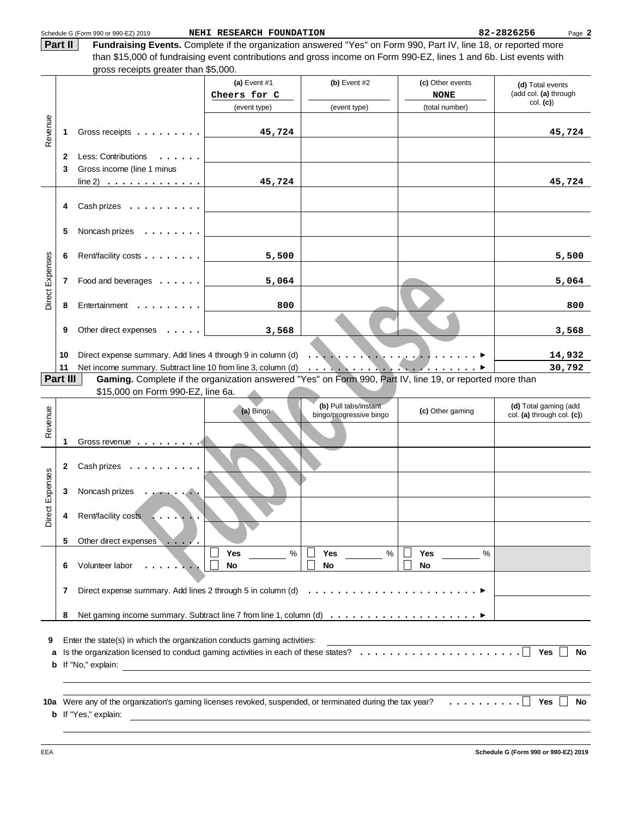|                        |          | Schedule G (Form 990 or 990-EZ) 2019                                                                                                          | NEHI RESEARCH FOUNDATION |                                                                                                                       |                                 | 82-2826256<br>Page 2                      |
|------------------------|----------|-----------------------------------------------------------------------------------------------------------------------------------------------|--------------------------|-----------------------------------------------------------------------------------------------------------------------|---------------------------------|-------------------------------------------|
|                        | Part II  | Fundraising Events. Complete if the organization answered "Yes" on Form 990, Part IV, line 18, or reported more                               |                          |                                                                                                                       |                                 |                                           |
|                        |          | than \$15,000 of fundraising event contributions and gross income on Form 990-EZ, lines 1 and 6b. List events with                            |                          |                                                                                                                       |                                 |                                           |
|                        |          | gross receipts greater than \$5,000.                                                                                                          | (a) Event $#1$           | (b) Event $#2$                                                                                                        |                                 |                                           |
|                        |          |                                                                                                                                               | Cheers for C             |                                                                                                                       | (c) Other events<br><b>NONE</b> | (d) Total events<br>(add col. (a) through |
|                        |          |                                                                                                                                               | (event type)             | (event type)                                                                                                          | (total number)                  | col. (c)                                  |
|                        |          |                                                                                                                                               |                          |                                                                                                                       |                                 |                                           |
| Revenue                | 1        | Gross receipts                                                                                                                                | 45,724                   |                                                                                                                       |                                 | 45,724                                    |
|                        |          |                                                                                                                                               |                          |                                                                                                                       |                                 |                                           |
|                        | 2        | Less: Contributions<br>.                                                                                                                      |                          |                                                                                                                       |                                 |                                           |
|                        | 3        | Gross income (line 1 minus                                                                                                                    |                          |                                                                                                                       |                                 |                                           |
|                        |          | $line 2)$                                                                                                                                     | 45,724                   |                                                                                                                       |                                 | 45,724                                    |
|                        | 4        | Cash prizes                                                                                                                                   |                          |                                                                                                                       |                                 |                                           |
|                        |          |                                                                                                                                               |                          |                                                                                                                       |                                 |                                           |
|                        | 5        | Noncash prizes                                                                                                                                |                          |                                                                                                                       |                                 |                                           |
|                        |          |                                                                                                                                               |                          |                                                                                                                       |                                 |                                           |
|                        | 6        | Rent/facility costs                                                                                                                           | 5,500                    |                                                                                                                       |                                 | 5,500                                     |
| <b>Direct Expenses</b> |          |                                                                                                                                               |                          |                                                                                                                       |                                 |                                           |
|                        | 7        | Food and beverages                                                                                                                            | 5,064                    |                                                                                                                       |                                 | 5,064                                     |
|                        | 8        | Entertainment                                                                                                                                 | 800                      |                                                                                                                       |                                 | 800                                       |
|                        |          |                                                                                                                                               |                          |                                                                                                                       |                                 |                                           |
|                        | 9        | Other direct expenses                                                                                                                         | 3,568                    |                                                                                                                       |                                 | 3,568                                     |
|                        |          |                                                                                                                                               |                          |                                                                                                                       |                                 |                                           |
|                        | 10       |                                                                                                                                               |                          |                                                                                                                       |                                 | 14,932                                    |
|                        | 11       |                                                                                                                                               |                          |                                                                                                                       |                                 | 30,792                                    |
|                        | Part III | Gaming. Complete if the organization answered "Yes" on Form 990, Part IV, line 19, or reported more than<br>\$15,000 on Form 990-EZ, line 6a. |                          |                                                                                                                       |                                 |                                           |
|                        |          |                                                                                                                                               |                          | (b) Pull tabs/instant                                                                                                 |                                 | (d) Total gaming (add                     |
|                        |          |                                                                                                                                               | (a) Bingo                | bingo/progressive bingo                                                                                               | (c) Other gaming                | col. (a) through col. (c))                |
| Revenue                |          |                                                                                                                                               |                          |                                                                                                                       |                                 |                                           |
|                        | 1        | Gross revenue $\dots \dots$                                                                                                                   |                          |                                                                                                                       |                                 |                                           |
|                        |          |                                                                                                                                               |                          |                                                                                                                       |                                 |                                           |
|                        | 2        | Cash prizes                                                                                                                                   |                          |                                                                                                                       |                                 |                                           |
|                        |          |                                                                                                                                               |                          |                                                                                                                       |                                 |                                           |
|                        | 3        | Noncash prizes<br>$\sim$ $\sim$                                                                                                               |                          |                                                                                                                       |                                 |                                           |
| Direct Expenses        | 4        | Rent/facility costs                                                                                                                           |                          |                                                                                                                       |                                 |                                           |
|                        |          |                                                                                                                                               |                          |                                                                                                                       |                                 |                                           |
|                        | 5        | Other direct expenses                                                                                                                         |                          |                                                                                                                       |                                 |                                           |
|                        |          |                                                                                                                                               | Yes<br>$\%$              | Yes<br>$\%$                                                                                                           | Yes<br>%                        |                                           |
|                        | 6        | Volunteer labor                                                                                                                               | <b>No</b>                | No                                                                                                                    | No                              |                                           |
|                        |          |                                                                                                                                               |                          |                                                                                                                       |                                 |                                           |
|                        | 7        | Direct expense summary. Add lines 2 through 5 in column (d) $\dots \dots \dots \dots \dots \dots \dots \dots \dots$                           |                          |                                                                                                                       |                                 |                                           |
|                        | 8        |                                                                                                                                               |                          |                                                                                                                       |                                 |                                           |
|                        |          |                                                                                                                                               |                          |                                                                                                                       |                                 |                                           |
| 9                      |          | Enter the state(s) in which the organization conducts gaming activities:                                                                      |                          |                                                                                                                       |                                 |                                           |
| а                      |          |                                                                                                                                               |                          |                                                                                                                       |                                 | <b>Yes</b><br>No                          |
|                        |          | <b>b</b> If "No," explain:                                                                                                                    |                          | <u> 1980 - Johann Stoff, deutscher Stoff, der Stoff, der Stoff, der Stoff, der Stoff, der Stoff, der Stoff, der S</u> |                                 |                                           |
|                        |          |                                                                                                                                               |                          |                                                                                                                       |                                 |                                           |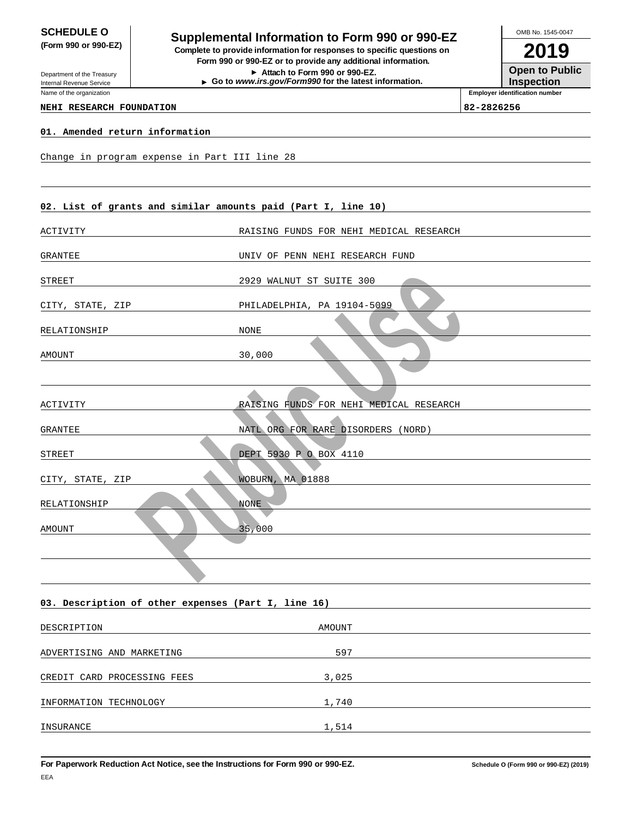Department of the Treasury

# **SCHEDULE O**<br> **Supplemental Information to Form 990 or 990-EZ**<br> **Supplemental Information to Form 990 or 990-EZ**

**(Form 990 or 990-EZ) Complete to provide information for responses to specific questions on Form 990 or 990-EZ or to provide any additional information. Attach to Form 990 or 990-EZ.**

**Go to www.irs.gov/Form990 for the latest information.**

**2019 Open to Public**

OMB No. 1545-0047

**Inspection Employer identification number**

Internal Revenue Service Name of the organization

#### **NEHI RESEARCH FOUNDATION 82-2826256**

#### **01. Amended return information**

Change in program expense in Part III line 28

| 02. List of grants and similar amounts paid (Part I, line 10) |                                         |  |  |  |
|---------------------------------------------------------------|-----------------------------------------|--|--|--|
| ACTIVITY                                                      | RAISING FUNDS FOR NEHI MEDICAL RESEARCH |  |  |  |
|                                                               |                                         |  |  |  |
| GRANTEE                                                       | UNIV OF PENN NEHI RESEARCH FUND         |  |  |  |
| STREET                                                        | 2929 WALNUT ST SUITE 300                |  |  |  |
| CITY, STATE, ZIP                                              | PHILADELPHIA, PA 19104-5099             |  |  |  |
| RELATIONSHIP                                                  | NONE                                    |  |  |  |
| AMOUNT                                                        | 30,000                                  |  |  |  |
|                                                               |                                         |  |  |  |
| ACTIVITY                                                      | RAISING FUNDS FOR NEHI MEDICAL RESEARCH |  |  |  |
| GRANTEE                                                       | NATL ORG FOR RARE DISORDERS (NORD)      |  |  |  |
| STREET                                                        | DEPT 5930 P O BOX 4110                  |  |  |  |
| CITY, STATE, ZIP                                              | WOBURN, MA 01888                        |  |  |  |
| RELATIONSHIP                                                  | <b>NONE</b>                             |  |  |  |
| <b>AMOUNT</b>                                                 | 35,000                                  |  |  |  |
|                                                               |                                         |  |  |  |
|                                                               |                                         |  |  |  |
| 03. Description of other expenses (Part I, line 16)           |                                         |  |  |  |
|                                                               |                                         |  |  |  |
| DESCRIPTION                                                   | AMOUNT                                  |  |  |  |
| ADVERTISING AND MARKETING                                     | 597                                     |  |  |  |
|                                                               |                                         |  |  |  |

| CREDIT CARD PROCESSING FEES | 3,025 |  |
|-----------------------------|-------|--|
| INFORMATION TECHNOLOGY      | 1,740 |  |
| INSURANCE                   | 1,514 |  |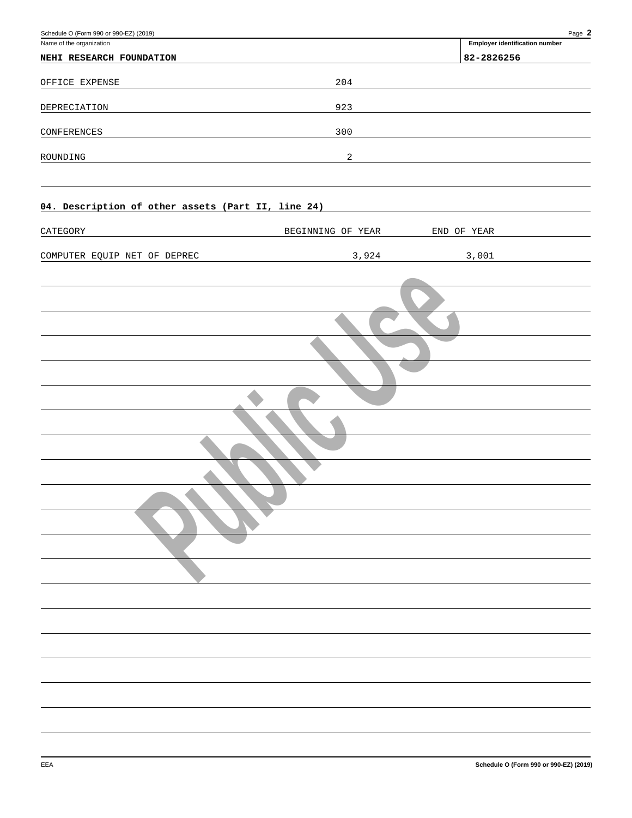| Schedule O (Form 990 or 990-EZ) (2019)             |                   | Page 2                                |
|----------------------------------------------------|-------------------|---------------------------------------|
| Name of the organization                           |                   | <b>Employer identification number</b> |
| NEHI RESEARCH FOUNDATION                           |                   | 82-2826256                            |
| OFFICE EXPENSE                                     | 204               |                                       |
| DEPRECIATION                                       | 923               |                                       |
| CONFERENCES                                        | 300               |                                       |
| ROUNDING                                           | $\overline{a}$    |                                       |
| 04. Description of other assets (Part II, line 24) |                   |                                       |
| CATEGORY                                           | BEGINNING OF YEAR | END OF YEAR                           |
| COMPUTER EQUIP NET OF DEPREC                       | 3,924             | 3,001                                 |
|                                                    |                   |                                       |
|                                                    |                   |                                       |
|                                                    |                   |                                       |
|                                                    |                   |                                       |
|                                                    |                   |                                       |
|                                                    |                   |                                       |
|                                                    |                   |                                       |
|                                                    |                   |                                       |
|                                                    |                   |                                       |
|                                                    |                   |                                       |